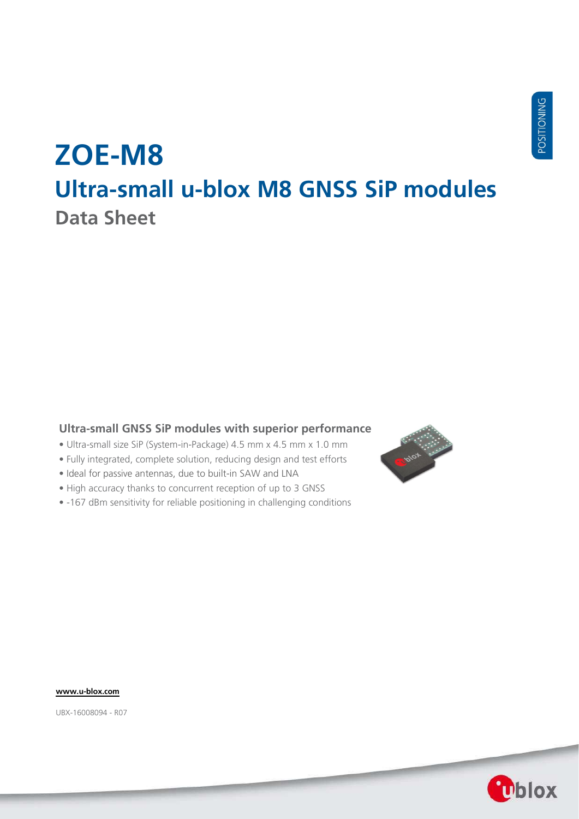# **ZOE-M8 Ultra-small u-blox M8 GNSS SiP modules Data Sheet**

#### **Ultra-small GNSS SiP modules with superior performance**

- Ultra-small size SiP (System-in-Package) 4.5 mm x 4.5 mm x 1.0 mm
- Fully integrated, complete solution, reducing design and test efforts
- Ideal for passive antennas, due to built-in SAW and LNA
- High accuracy thanks to concurrent reception of up to 3 GNSS
- -167 dBm sensitivity for reliable positioning in challenging conditions



**[www.u-blox.com](http://www.u-blox.com/)**

UBX-16008094 - R07

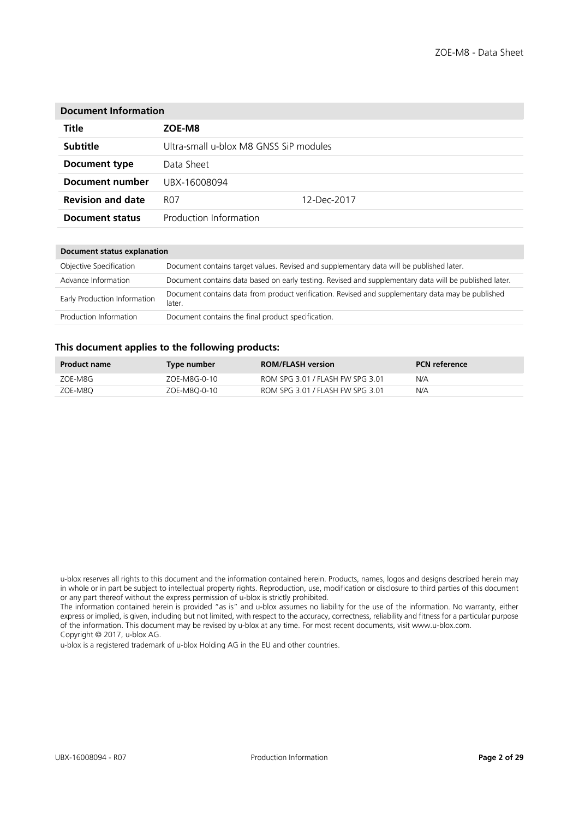| <b>Document Information</b>            |                |  |  |  |  |  |  |
|----------------------------------------|----------------|--|--|--|--|--|--|
| ZOE-M8                                 |                |  |  |  |  |  |  |
| Ultra-small u-blox M8 GNSS SiP modules |                |  |  |  |  |  |  |
| Data Sheet                             |                |  |  |  |  |  |  |
| UBX-16008094                           |                |  |  |  |  |  |  |
| <b>RO7</b>                             | $12$ -Dec-2017 |  |  |  |  |  |  |
| Production Information                 |                |  |  |  |  |  |  |
|                                        |                |  |  |  |  |  |  |

| Document status explanation  |                                                                                                             |  |  |  |  |
|------------------------------|-------------------------------------------------------------------------------------------------------------|--|--|--|--|
| Objective Specification      | Document contains target values. Revised and supplementary data will be published later.                    |  |  |  |  |
| Advance Information          | Document contains data based on early testing. Revised and supplementary data will be published later.      |  |  |  |  |
| Early Production Information | Document contains data from product verification. Revised and supplementary data may be published<br>later. |  |  |  |  |
| Production Information       | Document contains the final product specification.                                                          |  |  |  |  |

#### **This document applies to the following products:**

| <b>Product name</b> | Type number  | <b>ROM/FLASH version</b>         | <b>PCN</b> reference |
|---------------------|--------------|----------------------------------|----------------------|
| ZOE-M8G             | ZOE-M8G-0-10 | ROM SPG 3.01 / FLASH FW SPG 3.01 | N/A                  |
| ZOE-M8O             | ZOE-M8O-0-10 | ROM SPG 3.01 / FLASH FW SPG 3.01 | N/A                  |

u-blox is a registered trademark of u-blox Holding AG in the EU and other countries.

u-blox reserves all rights to this document and the information contained herein. Products, names, logos and designs described herein may in whole or in part be subject to intellectual property rights. Reproduction, use, modification or disclosure to third parties of this document or any part thereof without the express permission of u-blox is strictly prohibited.

The information contained herein is provided "as is" and u-blox assumes no liability for the use of the information. No warranty, either express or implied, is given, including but not limited, with respect to the accuracy, correctness, reliability and fitness for a particular purpose of the information. This document may be revised by u-blox at any time. For most recent documents, visit www.u-blox.com. Copyright © 2017, u-blox AG.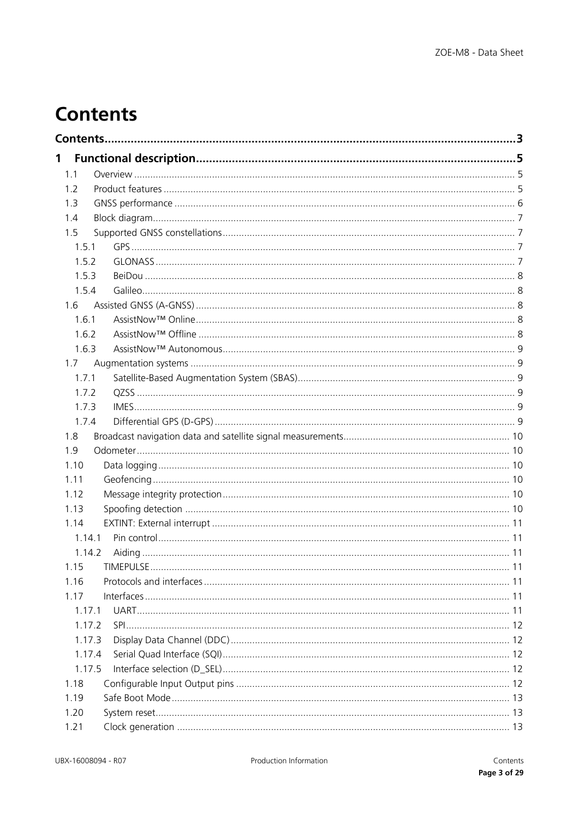# <span id="page-2-0"></span>**Contents**

| 1      |            |  |
|--------|------------|--|
| 1.1    |            |  |
| 1.2    |            |  |
| 1.3    |            |  |
| 1.4    |            |  |
| 1.5    |            |  |
| 1.5.1  |            |  |
| 1.5.2  |            |  |
| 1.5.3  |            |  |
| 1.5.4  |            |  |
| 1.6    |            |  |
| 1.6.1  |            |  |
| 1.6.2  |            |  |
| 1.6.3  |            |  |
| 1.7    |            |  |
| 1.7.1  |            |  |
| 1.7.2  |            |  |
| 1.7.3  |            |  |
| 1.7.4  |            |  |
| 1.8    |            |  |
| 1.9    |            |  |
| 1.10   |            |  |
| 1.11   |            |  |
| 1.12   |            |  |
| 1.13   |            |  |
| 1.14   |            |  |
| 1.14.1 |            |  |
| 1.14.2 |            |  |
| 1.15   | TIMEPULSE. |  |
| 1.16   |            |  |
| 1.17   |            |  |
| 1.17.1 |            |  |
| 1.17.2 |            |  |
| 1.17.3 |            |  |
| 1.17.4 |            |  |
| 1.17.5 |            |  |
| 1.18   |            |  |
| 1.19   |            |  |
| 1.20   |            |  |
| 1.21   |            |  |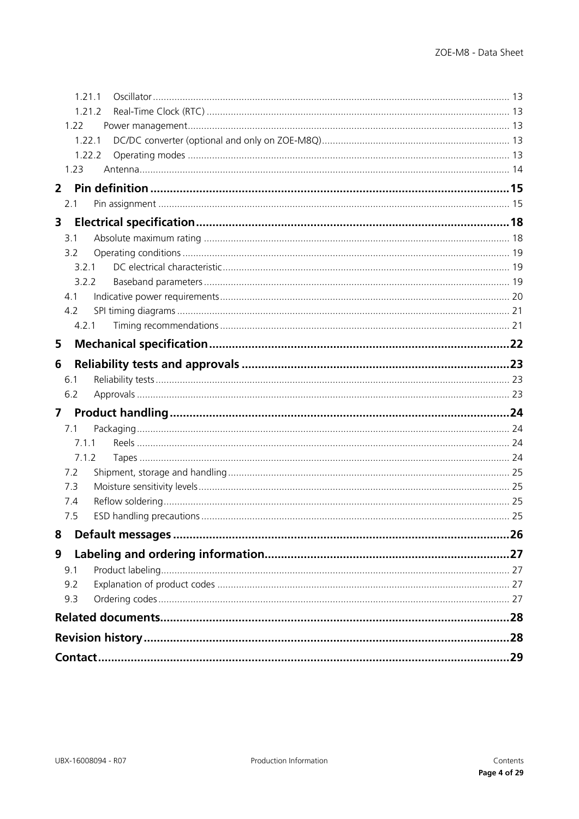|                | 1.21.1 |     |  |  |  |  |
|----------------|--------|-----|--|--|--|--|
|                | 1.21.2 |     |  |  |  |  |
|                | 1.22   |     |  |  |  |  |
|                | 1.22.1 |     |  |  |  |  |
|                | 1.22.2 |     |  |  |  |  |
|                | 1.23   |     |  |  |  |  |
| $\mathbf{2}$   |        |     |  |  |  |  |
|                | 2.1    |     |  |  |  |  |
| 3              |        |     |  |  |  |  |
|                | 3.1    |     |  |  |  |  |
|                | 3.2    |     |  |  |  |  |
|                | 3.2.1  |     |  |  |  |  |
|                | 3.2.2  |     |  |  |  |  |
|                | 4.1    |     |  |  |  |  |
|                | 4.2    |     |  |  |  |  |
|                | 4.2.1  |     |  |  |  |  |
| 5              |        |     |  |  |  |  |
| 6              |        |     |  |  |  |  |
|                | 6.1    |     |  |  |  |  |
|                | 6.2    |     |  |  |  |  |
| $\overline{7}$ |        |     |  |  |  |  |
|                | 7.1    |     |  |  |  |  |
|                | 7.1.1  |     |  |  |  |  |
|                | 7.1.2  |     |  |  |  |  |
|                | 7.2    |     |  |  |  |  |
|                | 7.3    |     |  |  |  |  |
|                | 7.4    |     |  |  |  |  |
|                | 7.5    |     |  |  |  |  |
| 8              |        | .26 |  |  |  |  |
| 9              |        |     |  |  |  |  |
|                | 9.1    |     |  |  |  |  |
|                | 9.2    |     |  |  |  |  |
|                | 9.3    |     |  |  |  |  |
|                |        |     |  |  |  |  |
|                | .28    |     |  |  |  |  |
|                |        |     |  |  |  |  |
|                |        | 29  |  |  |  |  |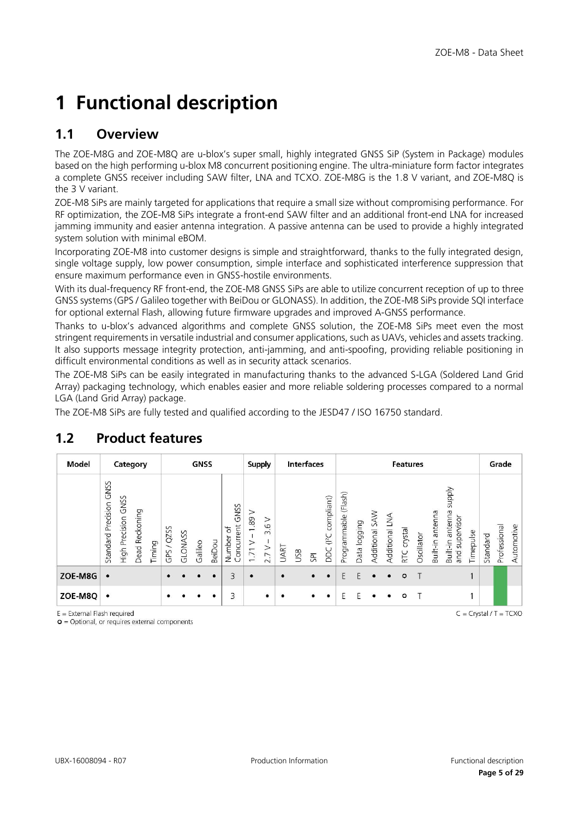# <span id="page-4-0"></span>**1 Functional description**

## <span id="page-4-1"></span>**1.1 Overview**

The ZOE-M8G and ZOE-M8Q are u-blox's super small, highly integrated GNSS SiP (System in Package) modules based on the high performing u-blox M8 concurrent positioning engine. The ultra-miniature form factor integrates a complete GNSS receiver including SAW filter, LNA and TCXO. ZOE-M8G is the 1.8 V variant, and ZOE-M8Q is the 3 V variant.

ZOE-M8 SiPs are mainly targeted for applications that require a small size without compromising performance. For RF optimization, the ZOE-M8 SiPs integrate a front-end SAW filter and an additional front-end LNA for increased jamming immunity and easier antenna integration. A passive antenna can be used to provide a highly integrated system solution with minimal eBOM.

Incorporating ZOE-M8 into customer designs is simple and straightforward, thanks to the fully integrated design, single voltage supply, low power consumption, simple interface and sophisticated interference suppression that ensure maximum performance even in GNSS-hostile environments.

With its dual-frequency RF front-end, the ZOE-M8 GNSS SiPs are able to utilize concurrent reception of up to three GNSS systems (GPS / Galileo together with BeiDou or GLONASS). In addition, the ZOE-M8 SiPs provide SQI interface for optional external Flash, allowing future firmware upgrades and improved A-GNSS performance.

Thanks to u-blox's advanced algorithms and complete GNSS solution, the ZOE-M8 SiPs meet even the most stringent requirements in versatile industrial and consumer applications, such as UAVs, vehicles and assets tracking. It also supports message integrity protection, anti-jamming, and anti-spoofing, providing reliable positioning in difficult environmental conditions as well as in security attack scenarios.

The ZOE-M8 SiPs can be easily integrated in manufacturing thanks to the advanced S-LGA (Soldered Land Grid Array) packaging technology, which enables easier and more reliable soldering processes compared to a normal LGA (Land Grid Array) package.

The ZOE-M8 SiPs are fully tested and qualified according to the JESD47 / ISO 16750 standard.

| Model                         |                         |                               | Category       |        |            |         | <b>GNSS</b> |        |                                                     |                | Supply                |           | <b>Interfaces</b> |            |                            |                      |              |                   |                | <b>Features</b> |            |                  |                                                       |           |          | Grade        |                          |
|-------------------------------|-------------------------|-------------------------------|----------------|--------|------------|---------|-------------|--------|-----------------------------------------------------|----------------|-----------------------|-----------|-------------------|------------|----------------------------|----------------------|--------------|-------------------|----------------|-----------------|------------|------------------|-------------------------------------------------------|-----------|----------|--------------|--------------------------|
|                               | Standard Precision GNSS | GNSS<br><b>High Precision</b> | Dead Reckoning | Timing | GPS / QZSS | GLONASS | Galileo     | BeiDou | GNSS<br>Concurrent<br>$\overline{\sigma}$<br>Number | 1.89V<br>1.71V | $\geq$<br>3.6<br>2.7V | UART      | USB               | <b>SPI</b> | compliant)<br>(12C)<br>pcc | Programmable (Flash) | Data logging | SAW<br>Additional | Additional LNA | RTC crystal     | Oscillator | Built-in antenna | <b>Addns</b><br>antenna<br>and supervisor<br>Built-in | Timepulse | Standard | Professional | Automotive               |
| ZOE-M8G                       | $\bullet$               |                               |                |        | ٠          |         |             |        | 3                                                   | $\epsilon$     |                       | $\bullet$ |                   | $\bullet$  | $\bullet$                  | Ε                    | F            | $\bullet$         | $\bullet$      | $\circ$         | т          |                  |                                                       |           |          |              |                          |
| ZOE-M8Q                       | $\bullet$               |                               |                |        | ٠          |         |             | ٠      | 3                                                   |                | $\bullet$             | $\bullet$ |                   | ٠          | $\bullet$                  | Ε                    | Ε            | ٠                 | ٠              | ۰               |            |                  |                                                       |           |          |              |                          |
| $E =$ External Flash required |                         |                               |                |        |            |         |             |        |                                                     |                |                       |           |                   |            |                            |                      |              |                   |                |                 |            |                  |                                                       |           |          |              | $C = Crystal / T = TCXO$ |

# <span id="page-4-2"></span>**1.2 Product features**

External Flash required

 $\bullet$  = Optional, or requires external components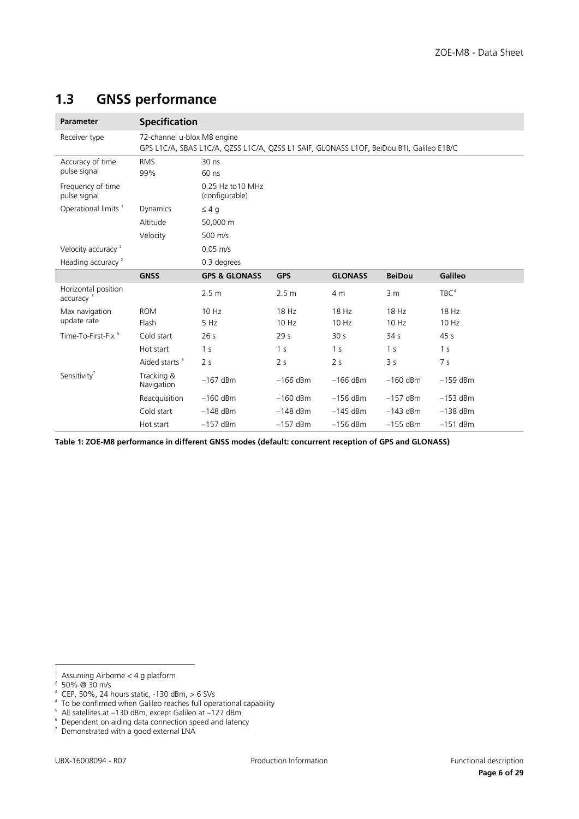| <b>Parameter</b>                             | <b>Specification</b>        |                                                                                          |                  |                 |                 |                  |  |
|----------------------------------------------|-----------------------------|------------------------------------------------------------------------------------------|------------------|-----------------|-----------------|------------------|--|
| Receiver type                                | 72-channel u-blox M8 engine | GPS L1C/A, SBAS L1C/A, QZSS L1C/A, QZSS L1 SAIF, GLONASS L1OF, BeiDou B1I, Galileo E1B/C |                  |                 |                 |                  |  |
| Accuracy of time<br>pulse signal             | <b>RMS</b><br>99%           | 30 ns<br>60 ns                                                                           |                  |                 |                 |                  |  |
| Frequency of time<br>pulse signal            |                             | 0.25 Hz to 10 MHz<br>(configurable)                                                      |                  |                 |                 |                  |  |
| Operational limits <sup>1</sup>              | Dynamics                    | $\leq 4$ q                                                                               |                  |                 |                 |                  |  |
|                                              | Altitude                    | 50,000 m                                                                                 |                  |                 |                 |                  |  |
|                                              | Velocity                    | 500 m/s                                                                                  |                  |                 |                 |                  |  |
| Velocity accuracy <sup>2</sup>               |                             | $0.05$ m/s                                                                               |                  |                 |                 |                  |  |
| Heading accuracy <sup>2</sup>                |                             | 0.3 degrees                                                                              |                  |                 |                 |                  |  |
|                                              | <b>GNSS</b>                 | <b>GPS &amp; GLONASS</b>                                                                 | <b>GPS</b>       | <b>GLONASS</b>  | <b>BeiDou</b>   | Galileo          |  |
| Horizontal position<br>accuracy <sup>3</sup> |                             | 2.5 <sub>m</sub>                                                                         | 2.5 <sub>m</sub> | 4 m             | 3 <sub>m</sub>  | TBC <sup>4</sup> |  |
| Max navigation<br>update rate                | <b>ROM</b><br>Flash         | 10 Hz<br>5 Hz                                                                            | 18 Hz<br>10 Hz   | 18 Hz<br>10 Hz  | 18 Hz<br>10 Hz  | 18 Hz<br>10 Hz   |  |
| Time-To-First-Fix <sup>5</sup>               | Cold start                  | 26 <sub>s</sub>                                                                          | 29 <sub>s</sub>  | 30 <sub>s</sub> | 34 <sub>s</sub> | 45 <sub>s</sub>  |  |
|                                              | Hot start                   | 1 <sub>s</sub>                                                                           | 1 <sup>s</sup>   | 1 <sup>s</sup>  | 1 <sub>s</sub>  | 1 <sub>s</sub>   |  |
|                                              | Aided starts <sup>6</sup>   | 2 <sub>s</sub>                                                                           | 2 <sub>s</sub>   | 2 <sub>s</sub>  | 3 <sub>5</sub>  | 7 <sub>s</sub>   |  |
| Sensitivity <sup>7</sup>                     | Tracking &<br>Navigation    | $-167$ dBm                                                                               | $-166$ dBm       | $-166$ dBm      | $-160$ dBm      | $-159$ dBm       |  |
|                                              | Reacquisition               | $-160$ dBm                                                                               | $-160$ dBm       | $-156$ dBm      | $-157$ dBm      | $-153$ dBm       |  |
|                                              | Cold start                  | $-148$ dBm                                                                               | $-148$ dBm       | $-145$ dBm      | $-143$ dBm      | $-138$ dBm       |  |
|                                              | Hot start                   | $-157$ dBm                                                                               | $-157$ dBm       | $-156$ dBm      | $-155$ dBm      | $-151$ dBm       |  |

# <span id="page-5-0"></span>**1.3 GNSS performance**

**Table 1: ZOE-M8 performance in different GNSS modes (default: concurrent reception of GPS and GLONASS)** 

 $\overline{a}$ 

- <span id="page-5-4"></span><span id="page-5-3"></span>
- <sup>3</sup> CEP, 50%, 24 hours static, -130 dBm, > 6 SVs<br><sup>4</sup> To be confirmed when Galileo reaches full operational capability

<span id="page-5-1"></span><sup>1</sup> Assuming Airborne < 4 g platform

<span id="page-5-2"></span> $2^2$  50% @ 30 m/s

<sup>5</sup> All satellites at –130 dBm, except Galileo at –127 dBm

<span id="page-5-6"></span><span id="page-5-5"></span><sup>6</sup> Dependent on aiding data connection speed and latency

<span id="page-5-7"></span><sup>7</sup> Demonstrated with a good external LNA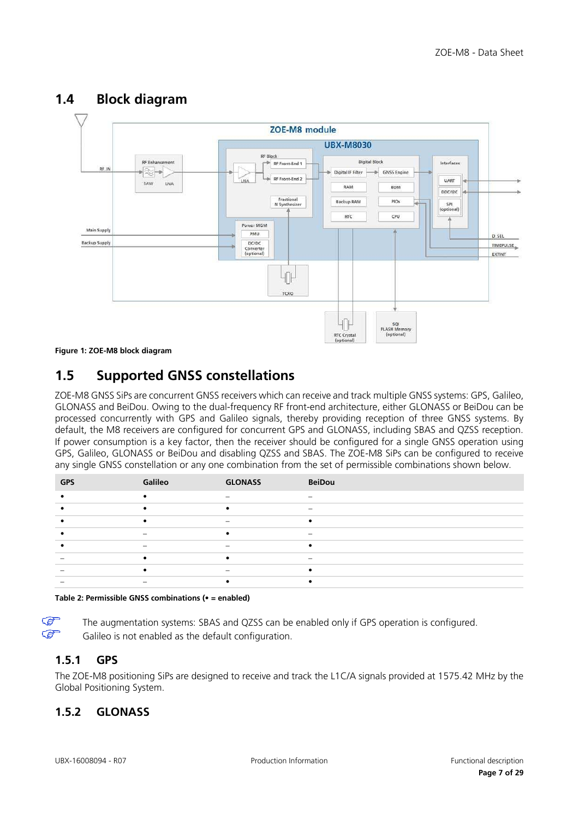

# <span id="page-6-0"></span>**1.4 Block diagram**

**Figure 1: ZOE-M8 block diagram**

# <span id="page-6-1"></span>**1.5 Supported GNSS constellations**

ZOE-M8 GNSS SiPs are concurrent GNSS receivers which can receive and track multiple GNSS systems: GPS, Galileo, GLONASS and BeiDou. Owing to the dual-frequency RF front-end architecture, either GLONASS or BeiDou can be processed concurrently with GPS and Galileo signals, thereby providing reception of three GNSS systems. By default, the M8 receivers are configured for concurrent GPS and GLONASS, including SBAS and QZSS reception. If power consumption is a key factor, then the receiver should be configured for a single GNSS operation using GPS, Galileo, GLONASS or BeiDou and disabling QZSS and SBAS. The ZOE-M8 SiPs can be configured to receive any single GNSS constellation or any one combination from the set of permissible combinations shown below.

| <b>GPS</b> | Galileo | <b>GLONASS</b>           | <b>BeiDou</b>     |
|------------|---------|--------------------------|-------------------|
|            |         | $\overline{\phantom{a}}$ |                   |
|            |         |                          | $\hspace{0.05cm}$ |
|            |         | $\overline{\phantom{0}}$ |                   |
|            |         | $\bullet$                |                   |
|            |         |                          |                   |
|            |         | ٠                        |                   |
|            |         | -                        |                   |
|            |         | ٠                        |                   |

**Table 2: Permissible GNSS combinations (• = enabled)**

 $\mathbb{G}$ ্বক্ব The augmentation systems: SBAS and QZSS can be enabled only if GPS operation is configured. Galileo is not enabled as the default configuration.

## <span id="page-6-2"></span>**1.5.1 GPS**

The ZOE-M8 positioning SiPs are designed to receive and track the L1C/A signals provided at 1575.42 MHz by the Global Positioning System.

## <span id="page-6-3"></span>**1.5.2 GLONASS**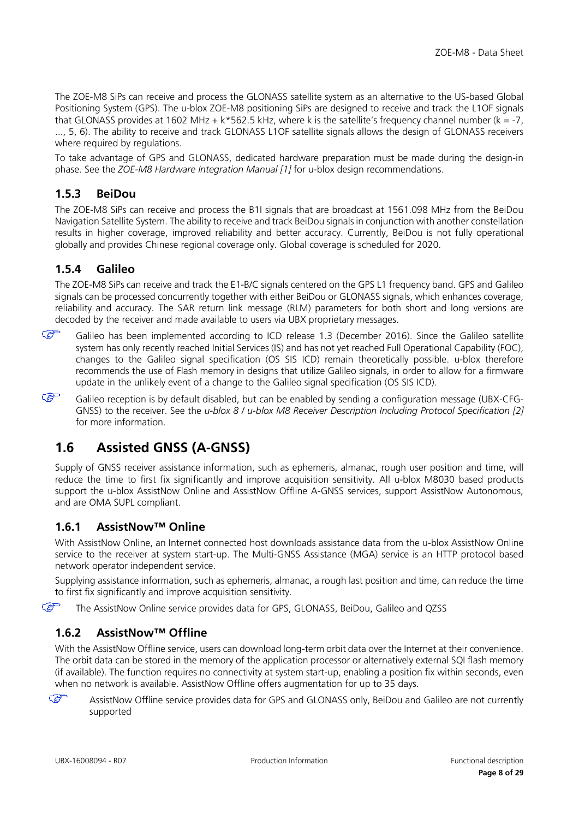The ZOE-M8 SiPs can receive and process the GLONASS satellite system as an alternative to the US-based Global Positioning System (GPS). The u-blox ZOE-M8 positioning SiPs are designed to receive and track the L1OF signals that GLONASS provides at 1602 MHz + k\*562.5 kHz, where k is the satellite's frequency channel number (k = -7, ..., 5, 6). The ability to receive and track GLONASS L1OF satellite signals allows the design of GLONASS receivers where required by regulations.

To take advantage of GPS and GLONASS, dedicated hardware preparation must be made during the design-in phase. See the *ZOE-M8 Hardware Integration Manual [\[1\]](#page-27-2)* for u-blox design recommendations.

## <span id="page-7-0"></span>**1.5.3 BeiDou**

The ZOE-M8 SiPs can receive and process the B1I signals that are broadcast at 1561.098 MHz from the BeiDou Navigation Satellite System. The ability to receive and track BeiDou signals in conjunction with another constellation results in higher coverage, improved reliability and better accuracy. Currently, BeiDou is not fully operational globally and provides Chinese regional coverage only. Global coverage is scheduled for 2020.

## <span id="page-7-1"></span>**1.5.4 Galileo**

The ZOE-M8 SiPs can receive and track the E1-B/C signals centered on the GPS L1 frequency band. GPS and Galileo signals can be processed concurrently together with either BeiDou or GLONASS signals, which enhances coverage, reliability and accuracy. The SAR return link message (RLM) parameters for both short and long versions are decoded by the receiver and made available to users via UBX proprietary messages.

- **PER** Galileo has been implemented according to ICD release 1.3 (December 2016). Since the Galileo satellite system has only recently reached Initial Services (IS) and has not yet reached Full Operational Capability (FOC), changes to the Galileo signal specification (OS SIS ICD) remain theoretically possible. u-blox therefore recommends the use of Flash memory in designs that utilize Galileo signals, in order to allow for a firmware update in the unlikely event of a change to the Galileo signal specification (OS SIS ICD).
- G Galileo reception is by default disabled, but can be enabled by sending a configuration message (UBX-CFG-GNSS) to the receiver. See the *u-blox 8 / u-blox M8 Receiver Description Including Protocol Specification* [\[2\]](#page-27-3) for more information.

# <span id="page-7-2"></span>**1.6 Assisted GNSS (A-GNSS)**

Supply of GNSS receiver assistance information, such as ephemeris, almanac, rough user position and time, will reduce the time to first fix significantly and improve acquisition sensitivity. All u-blox M8030 based products support the u-blox AssistNow Online and AssistNow Offline A-GNSS services, support AssistNow Autonomous, and are OMA SUPL compliant.

## <span id="page-7-3"></span>**1.6.1 AssistNow™ Online**

With AssistNow Online, an Internet connected host downloads assistance data from the u-blox AssistNow Online service to the receiver at system start-up. The Multi-GNSS Assistance (MGA) service is an HTTP protocol based network operator independent service.

Supplying assistance information, such as ephemeris, almanac, a rough last position and time, can reduce the time to first fix significantly and improve acquisition sensitivity.

 $\mathbb{G}$ The AssistNow Online service provides data for GPS, GLONASS, BeiDou, Galileo and QZSS

## <span id="page-7-4"></span>**1.6.2 AssistNow™ Offline**

With the AssistNow Offline service, users can download long-term orbit data over the Internet at their convenience. The orbit data can be stored in the memory of the application processor or alternatively external SQI flash memory (if available). The function requires no connectivity at system start-up, enabling a position fix within seconds, even when no network is available. AssistNow Offline offers augmentation for up to 35 days.

 $\mathbb{F}$ AssistNow Offline service provides data for GPS and GLONASS only, BeiDou and Galileo are not currently supported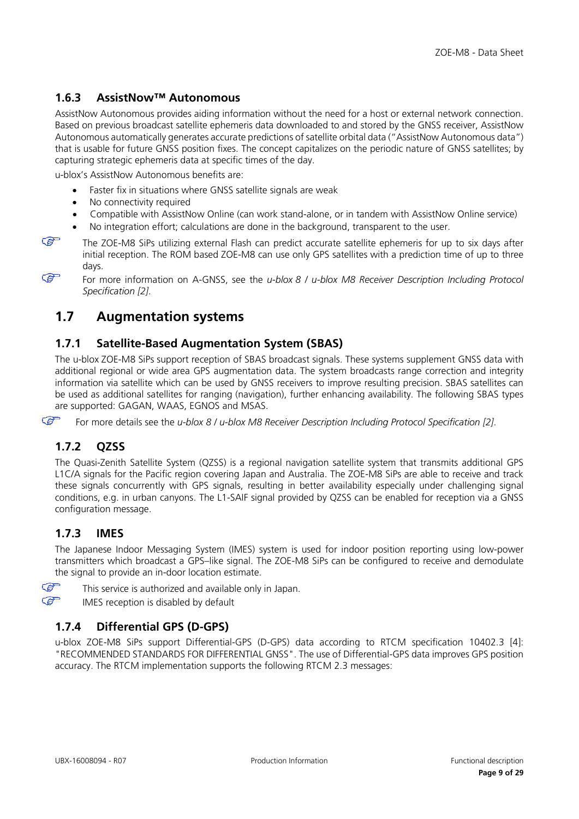## <span id="page-8-0"></span>**1.6.3 AssistNow™ Autonomous**

AssistNow Autonomous provides aiding information without the need for a host or external network connection. Based on previous broadcast satellite ephemeris data downloaded to and stored by the GNSS receiver, AssistNow Autonomous automatically generates accurate predictions of satellite orbital data ("AssistNow Autonomous data") that is usable for future GNSS position fixes. The concept capitalizes on the periodic nature of GNSS satellites; by capturing strategic ephemeris data at specific times of the day.

u-blox's AssistNow Autonomous benefits are:

- Faster fix in situations where GNSS satellite signals are weak
- No connectivity required
- Compatible with AssistNow Online (can work stand-alone, or in tandem with AssistNow Online service)
- No integration effort; calculations are done in the background, transparent to the user.

The ZOE-M8 SiPs utilizing external Flash can predict accurate satellite ephemeris for up to six days after initial reception. The ROM based ZOE-M8 can use only GPS satellites with a prediction time of up to three days.

For more information on A-GNSS, see the *u-blox 8 / u-blox M8 Receiver Description Including Protocol Specification [\[2\]](#page-27-3)*.

## <span id="page-8-1"></span>**1.7 Augmentation systems**

### <span id="page-8-2"></span>**1.7.1 Satellite-Based Augmentation System (SBAS)**

The u-blox ZOE-M8 SiPs support reception of SBAS broadcast signals. These systems supplement GNSS data with additional regional or wide area GPS augmentation data. The system broadcasts range correction and integrity information via satellite which can be used by GNSS receivers to improve resulting precision. SBAS satellites can be used as additional satellites for ranging (navigation), further enhancing availability. The following SBAS types are supported: GAGAN, WAAS, EGNOS and MSAS.

**P** For more details see the *u-blox 8 / u-blox M8 Receiver Description Including Protocol Specification [2]*.

## <span id="page-8-3"></span>**1.7.2 QZSS**

**P** 

ক্লে

The Quasi-Zenith Satellite System (QZSS) is a regional navigation satellite system that transmits additional GPS L1C/A signals for the Pacific region covering Japan and Australia. The ZOE-M8 SiPs are able to receive and track these signals concurrently with GPS signals, resulting in better availability especially under challenging signal conditions, e.g. in urban canyons. The L1-SAIF signal provided by QZSS can be enabled for reception via a GNSS configuration message.

#### <span id="page-8-4"></span>**1.7.3 IMES**

 $\mathbb{F}$ 

The Japanese Indoor Messaging System (IMES) system is used for indoor position reporting using low-power transmitters which broadcast a GPS–like signal. The ZOE-M8 SiPs can be configured to receive and demodulate the signal to provide an in-door location estimate.

 $\mathbb{Q}^+$ This service is authorized and available only in Japan.

IMES reception is disabled by default

## <span id="page-8-5"></span>**1.7.4 Differential GPS (D-GPS)**

u-blox ZOE-M8 SiPs support Differential-GPS (D-GPS) data according to RTCM specification 10402.3 [\[4\]:](#page-27-4) "RECOMMENDED STANDARDS FOR DIFFERENTIAL GNSS". The use of Differential-GPS data improves GPS position accuracy. The RTCM implementation supports the following RTCM 2.3 messages: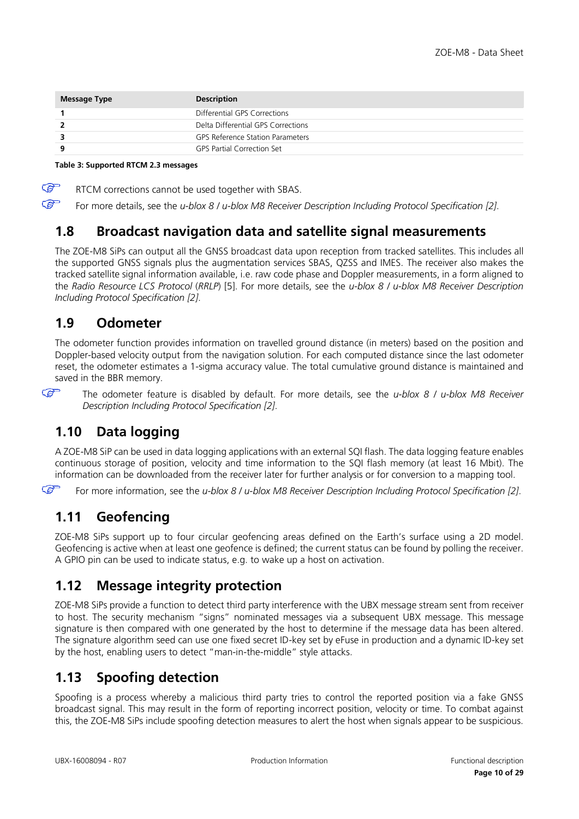| Message Type | <b>Description</b>                      |
|--------------|-----------------------------------------|
|              | Differential GPS Corrections            |
|              | Delta Differential GPS Corrections      |
|              | <b>GPS Reference Station Parameters</b> |
| 9            | <b>GPS Partial Correction Set</b>       |
|              |                                         |

#### **Table 3: Supported RTCM 2.3 messages**

 $\mathbb{Q}$ G

RTCM corrections cannot be used together with SBAS.

For more details, see the *u-blox 8 / u-blox M8 Receiver Description Including Protocol Specification [\[2\]](#page-27-3)*.

## <span id="page-9-0"></span>**1.8 Broadcast navigation data and satellite signal measurements**

The ZOE-M8 SiPs can output all the GNSS broadcast data upon reception from tracked satellites. This includes all the supported GNSS signals plus the augmentation services SBAS, QZSS and IMES. The receiver also makes the tracked satellite signal information available, i.e. raw code phase and Doppler measurements, in a form aligned to the *Radio Resource LCS Protocol* (*RRLP*) [\[5\].](#page-27-5) For more details, see the *u-blox 8 / u-blox M8 Receiver Description Including Protocol Specification [\[2\]](#page-27-3)*.

## <span id="page-9-1"></span>**1.9 Odometer**

The odometer function provides information on travelled ground distance (in meters) based on the position and Doppler-based velocity output from the navigation solution. For each computed distance since the last odometer reset, the odometer estimates a 1-sigma accuracy value. The total cumulative ground distance is maintained and saved in the BBR memory.

 $\mathbb{Q}$ 

The odometer feature is disabled by default. For more details, see the *u-blox 8 / u-blox M8 Receiver Description Including Protocol Specification [2]*.

# <span id="page-9-2"></span>**1.10 Data logging**

A ZOE-M8 SiP can be used in data logging applications with an external SQI flash. The data logging feature enables continuous storage of position, velocity and time information to the SQI flash memory (at least 16 Mbit). The information can be downloaded from the receiver later for further analysis or for conversion to a mapping tool.

**PED** For more information, see the *u-blox 8 / u-blox M8 Receiver Description Including Protocol Specification [\[2\]](#page-27-3)*.

## <span id="page-9-3"></span>**1.11 Geofencing**

ZOE-M8 SiPs support up to four circular geofencing areas defined on the Earth's surface using a 2D model. Geofencing is active when at least one geofence is defined; the current status can be found by polling the receiver. A GPIO pin can be used to indicate status, e.g. to wake up a host on activation.

## <span id="page-9-4"></span>**1.12 Message integrity protection**

ZOE-M8 SiPs provide a function to detect third party interference with the UBX message stream sent from receiver to host. The security mechanism "signs" nominated messages via a subsequent UBX message. This message signature is then compared with one generated by the host to determine if the message data has been altered. The signature algorithm seed can use one fixed secret ID-key set by eFuse in production and a dynamic ID-key set by the host, enabling users to detect "man-in-the-middle" style attacks.

# <span id="page-9-5"></span>**1.13 Spoofing detection**

Spoofing is a process whereby a malicious third party tries to control the reported position via a fake GNSS broadcast signal. This may result in the form of reporting incorrect position, velocity or time. To combat against this, the ZOE-M8 SiPs include spoofing detection measures to alert the host when signals appear to be suspicious.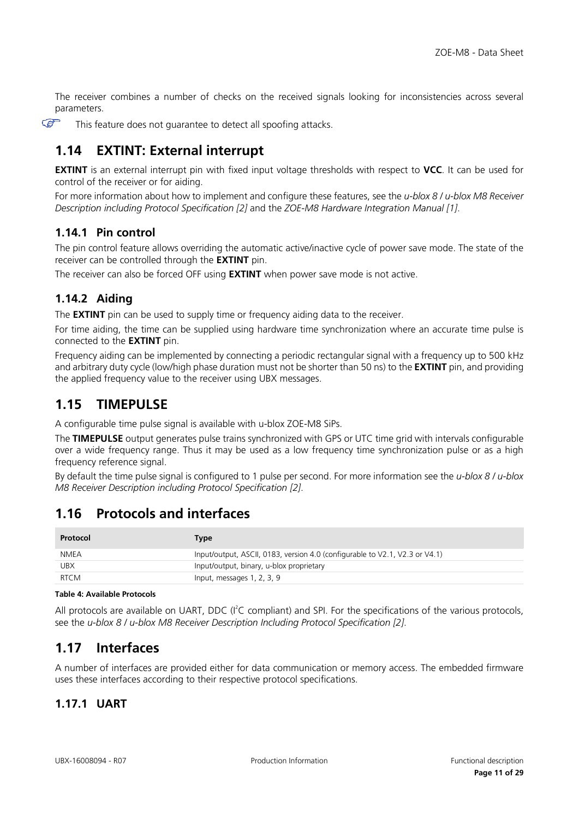The receiver combines a number of checks on the received signals looking for inconsistencies across several parameters.

G This feature does not guarantee to detect all spoofing attacks.

# <span id="page-10-0"></span>**1.14 EXTINT: External interrupt**

**EXTINT** is an external interrupt pin with fixed input voltage thresholds with respect to **VCC**. It can be used for control of the receiver or for aiding.

For more information about how to implement and configure these features, see the *u-blox 8 / u-blox M8 Receiver Description including Protocol Specification [2]* and the *ZOE-M8 Hardware Integration Manual [1]*.

## <span id="page-10-1"></span>**1.14.1 Pin control**

The pin control feature allows overriding the automatic active/inactive cycle of power save mode. The state of the receiver can be controlled through the **EXTINT** pin.

The receiver can also be forced OFF using **EXTINT** when power save mode is not active.

## <span id="page-10-2"></span>**1.14.2 Aiding**

The **EXTINT** pin can be used to supply time or frequency aiding data to the receiver.

For time aiding, the time can be supplied using hardware time synchronization where an accurate time pulse is connected to the **EXTINT** pin.

Frequency aiding can be implemented by connecting a periodic rectangular signal with a frequency up to 500 kHz and arbitrary duty cycle (low/high phase duration must not be shorter than 50 ns) to the **EXTINT** pin, and providing the applied frequency value to the receiver using UBX messages.

# <span id="page-10-3"></span>**1.15 TIMEPULSE**

A configurable time pulse signal is available with u-blox ZOE-M8 SiPs.

The **TIMEPULSE** output generates pulse trains synchronized with GPS or UTC time grid with intervals configurable over a wide frequency range. Thus it may be used as a low frequency time synchronization pulse or as a high frequency reference signal.

By default the time pulse signal is configured to 1 pulse per second. For more information see the *u-blox 8 / u-blox M8 Receiver Description including Protocol Specification [2]*.

## <span id="page-10-4"></span>**1.16 Protocols and interfaces**

| Protocol    | Type                                                                        |
|-------------|-----------------------------------------------------------------------------|
| NMEA        | Input/output, ASCII, 0183, version 4.0 (configurable to V2.1, V2.3 or V4.1) |
| <b>UBX</b>  | Input/output, binary, u-blox proprietary                                    |
| <b>RTCM</b> | Input, messages 1, 2, 3, 9                                                  |

#### **Table 4: Available Protocols**

All protocols are available on UART, DDC ( $l^2C$  compliant) and SPI. For the specifications of the various protocols, see the *u-blox 8 / u-blox M8 Receiver Description Including Protocol Specification [\[2\]](#page-27-3)*.

# <span id="page-10-5"></span>**1.17 Interfaces**

A number of interfaces are provided either for data communication or memory access. The embedded firmware uses these interfaces according to their respective protocol specifications.

## <span id="page-10-6"></span>**1.17.1 UART**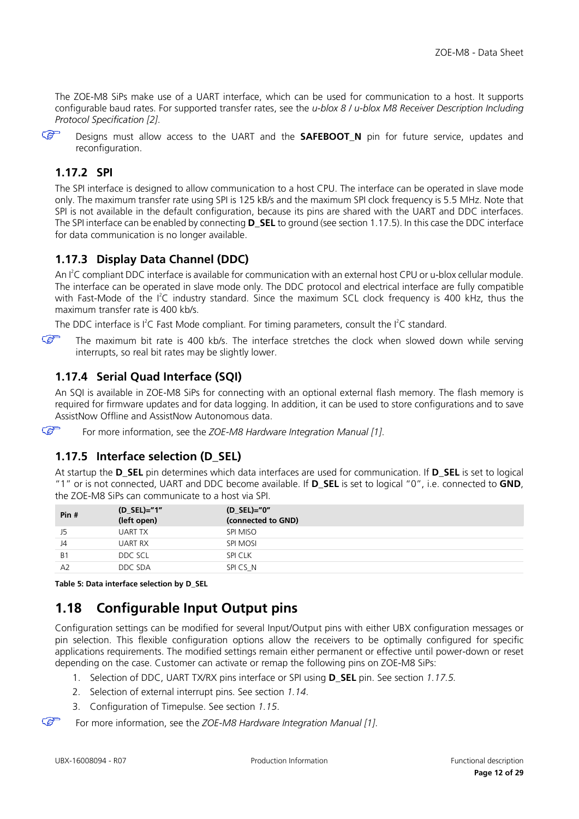The ZOE-M8 SiPs make use of a UART interface, which can be used for communication to a host. It supports configurable baud rates. For supported transfer rates, see the *u-blox 8 / u-blox M8 Receiver Description Including Protocol Specification [\[2\]](#page-27-3)*.

 $\mathbb{Q}$ 

Designs must allow access to the UART and the **SAFEBOOT\_N** pin for future service, updates and reconfiguration.

## <span id="page-11-0"></span>**1.17.2 SPI**

The SPI interface is designed to allow communication to a host CPU. The interface can be operated in slave mode only. The maximum transfer rate using SPI is 125 kB/s and the maximum SPI clock frequency is 5.5 MHz. Note that SPI is not available in the default configuration, because its pins are shared with the UART and DDC interfaces. The SPI interface can be enabled by connecting **D\_SEL** to ground (see sectio[n 1.17.5\)](#page-11-3). In this case the DDC interface for data communication is no longer available.

## <span id="page-11-1"></span>**1.17.3 Display Data Channel (DDC)**

An I<sup>2</sup>C compliant DDC interface is available for communication with an external host CPU or u-blox cellular module. The interface can be operated in slave mode only. The DDC protocol and electrical interface are fully compatible with Fast-Mode of the I<sup>2</sup>C industry standard. Since the maximum SCL clock frequency is 400 kHz, thus the maximum transfer rate is 400 kb/s.

The DDC interface is  $l^2C$  Fast Mode compliant. For timing parameters, consult the  $l^2C$  standard.

 $\mathbb{Q}$ 

G

The maximum bit rate is 400 kb/s. The interface stretches the clock when slowed down while serving interrupts, so real bit rates may be slightly lower.

## <span id="page-11-2"></span>**1.17.4 Serial Quad Interface (SQI)**

An SQI is available in ZOE-M8 SiPs for connecting with an optional external flash memory. The flash memory is required for firmware updates and for data logging. In addition, it can be used to store configurations and to save AssistNow Offline and AssistNow Autonomous data.

For more information, see the *ZOE-M8 Hardware Integration Manual [\[1\]](#page-27-2)*.

## <span id="page-11-3"></span>**1.17.5 Interface selection (D\_SEL)**

At startup the **D\_SEL** pin determines which data interfaces are used for communication. If **D\_SEL** is set to logical "1" or is not connected, UART and DDC become available. If **D\_SEL** is set to logical "0", i.e. connected to **GND**, the ZOE-M8 SiPs can communicate to a host via SPI.

| Pin#           | (D_SEL)="1"<br>(left open) | (D_SEL)="0"<br>(connected to GND) |
|----------------|----------------------------|-----------------------------------|
| J5             | <b>UART TX</b>             | SPI MISO                          |
| J4             | <b>UART RX</b>             | SPI MOSI                          |
| B1             | DDC SCL                    | SPI CLK                           |
| A <sub>2</sub> | DDC SDA                    | SPICS N                           |
|                |                            |                                   |

**Table 5: Data interface selection by D\_SEL**

## <span id="page-11-4"></span>**1.18 Configurable Input Output pins**

Configuration settings can be modified for several Input/Output pins with either UBX configuration messages or pin selection. This flexible configuration options allow the receivers to be optimally configured for specific applications requirements. The modified settings remain either permanent or effective until power-down or reset depending on the case. Customer can activate or remap the following pins on ZOE-M8 SiPs:

- 1. Selection of DDC, UART TX/RX pins interface or SPI using **D\_SEL** pin. See section *[1.17.5.](#page-11-3)*
- 2. Selection of external interrupt pins. See section *[1.14](#page-10-0)*.
- 3. Configuration of Timepulse. See section *[1.15](#page-10-3)*.

For more information, see the *ZOE-M8 Hardware Integration Manual [\[1\]](#page-27-2)*.

**PER**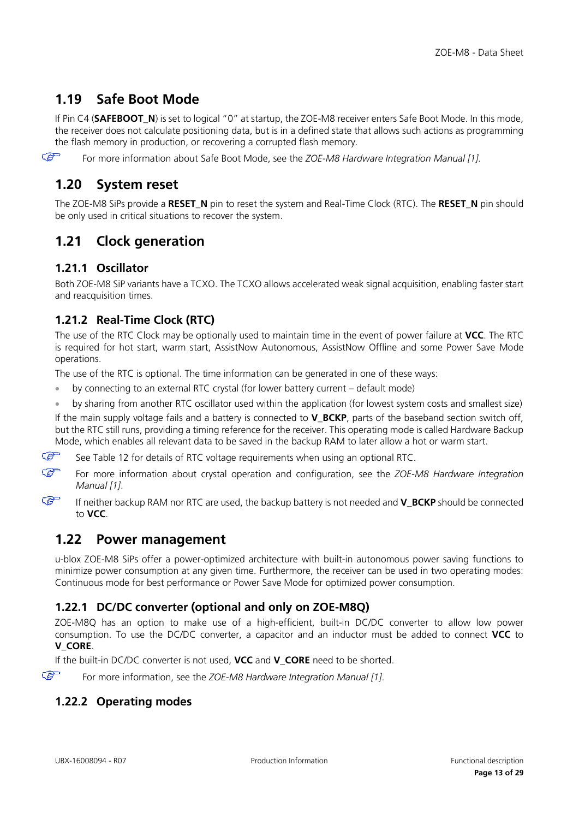# <span id="page-12-0"></span>**1.19 Safe Boot Mode**

If Pin C4 (**SAFEBOOT\_N**) is set to logical "0" at startup, the ZOE-M8 receiver enters Safe Boot Mode. In this mode, the receiver does not calculate positioning data, but is in a defined state that allows such actions as programming the flash memory in production, or recovering a corrupted flash memory.

For more information about Safe Boot Mode, see the *ZOE-M8 Hardware Integration Manual [\[1\].](#page-27-2)* 

## <span id="page-12-1"></span>**1.20 System reset**

 $\widehat{B}$ 

The ZOE-M8 SiPs provide a RESET N pin to reset the system and Real-Time Clock (RTC). The RESET N pin should be only used in critical situations to recover the system.

## <span id="page-12-2"></span>**1.21 Clock generation**

## <span id="page-12-3"></span>**1.21.1 Oscillator**

Both ZOE-M8 SiP variants have a TCXO. The TCXO allows accelerated weak signal acquisition, enabling faster start and reacquisition times.

## <span id="page-12-4"></span>**1.21.2 Real-Time Clock (RTC)**

The use of the RTC Clock may be optionally used to maintain time in the event of power failure at **VCC**. The RTC is required for hot start, warm start, AssistNow Autonomous, AssistNow Offline and some Power Save Mode operations.

The use of the RTC is optional. The time information can be generated in one of these ways:

- by connecting to an external RTC crystal (for lower battery current default mode)
- by sharing from another RTC oscillator used within the application (for lowest system costs and smallest size)

If the main supply voltage fails and a battery is connected to **V\_BCKP**, parts of the baseband section switch off, but the RTC still runs, providing a timing reference for the receiver. This operating mode is called Hardware Backup Mode, which enables all relevant data to be saved in the backup RAM to later allow a hot or warm start.

 $\mathbb{Q}$ See [Table 12](#page-19-1) for details of RTC voltage requirements when using an optional RTC.

 $\mathbb{F}$ For more information about crystal operation and configuration, see the *ZOE-M8 Hardware Integration Manual [1]*.

 $\mathbb{Q}$ If neither backup RAM nor RTC are used, the backup battery is not needed and **V\_BCKP** should be connected to **VCC**.

## <span id="page-12-5"></span>**1.22 Power management**

u-blox ZOE-M8 SiPs offer a power-optimized architecture with built-in autonomous power saving functions to minimize power consumption at any given time. Furthermore, the receiver can be used in two operating modes: Continuous mode for best performance or Power Save Mode for optimized power consumption.

## <span id="page-12-6"></span>**1.22.1 DC/DC converter (optional and only on ZOE-M8Q)**

ZOE-M8Q has an option to make use of a high-efficient, built-in DC/DC converter to allow low power consumption. To use the DC/DC converter, a capacitor and an inductor must be added to connect **VCC** to **V\_CORE**.

If the built-in DC/DC converter is not used, **VCC** and **V\_CORE** need to be shorted.

**PED** For more information, see the *ZOE-M8 Hardware Integration Manual [1]*.

## <span id="page-12-7"></span>**1.22.2 Operating modes**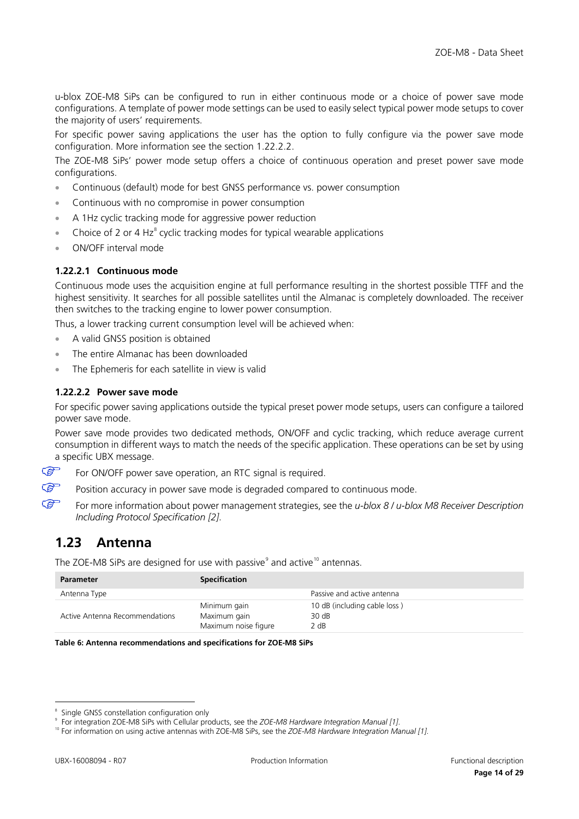u-blox ZOE-M8 SiPs can be configured to run in either continuous mode or a choice of power save mode configurations. A template of power mode settings can be used to easily select typical power mode setups to cover the majority of users' requirements.

For specific power saving applications the user has the option to fully configure via the power save mode configuration. More information see the section [1.22.2.2.](#page-13-1)

The ZOE-M8 SiPs' power mode setup offers a choice of continuous operation and preset power save mode configurations.

- Continuous (default) mode for best GNSS performance vs. power consumption
- Continuous with no compromise in power consumption
- A 1Hz cyclic tracking mode for aggressive power reduction
- Choice of 2 or 4 Hz<sup>[8](#page-13-2)</sup> cyclic tracking modes for typical wearable applications
- ON/OFF interval mode

#### **1.22.2.1 Continuous mode**

Continuous mode uses the acquisition engine at full performance resulting in the shortest possible TTFF and the highest sensitivity. It searches for all possible satellites until the Almanac is completely downloaded. The receiver then switches to the tracking engine to lower power consumption.

Thus, a lower tracking current consumption level will be achieved when:

- A valid GNSS position is obtained
- The entire Almanac has been downloaded
- <span id="page-13-1"></span>The Ephemeris for each satellite in view is valid

#### **1.22.2.2 Power save mode**

For specific power saving applications outside the typical preset power mode setups, users can configure a tailored power save mode.

Power save mode provides two dedicated methods, ON/OFF and cyclic tracking, which reduce average current consumption in different ways to match the needs of the specific application. These operations can be set by using a specific UBX message.

- ☞ For ON/OFF power save operation, an RTC signal is required.
- $\mathbb{Q}$ Position accuracy in power save mode is degraded compared to continuous mode.
- $\mathbb{Q}$ For more information about power management strategies, see the *u-blox 8 / u-blox M8 Receiver Description Including Protocol Specification [\[2\]](#page-27-3)*.

## <span id="page-13-0"></span>**1.23 Antenna**

The ZOE-M8 SiPs are designed for use with passive $^{\circ}$  and active<sup>[10](#page-13-4)</sup> antennas.

| <b>Parameter</b>               | <b>Specification</b>                                 |                                               |
|--------------------------------|------------------------------------------------------|-----------------------------------------------|
| Antenna Type                   |                                                      | Passive and active antenna                    |
| Active Antenna Recommendations | Minimum gain<br>Maximum gain<br>Maximum noise figure | 10 dB (including cable loss)<br>30 dB<br>2 dB |

**Table 6: Antenna recommendations and specifications for ZOE-M8 SiPs** 

 $\overline{a}$ 

<span id="page-13-2"></span><sup>8</sup> Single GNSS constellation configuration only

<span id="page-13-3"></span><sup>9</sup> For integration ZOE-M8 SiPs with Cellular products, see the *ZOE-M8 Hardware Integration Manual [\[1\]](#page-27-2)*.

<span id="page-13-4"></span><sup>10</sup> For information on using active antennas with ZOE-M8 SiPs, see the *ZOE-M8 Hardware Integration Manual [1]*.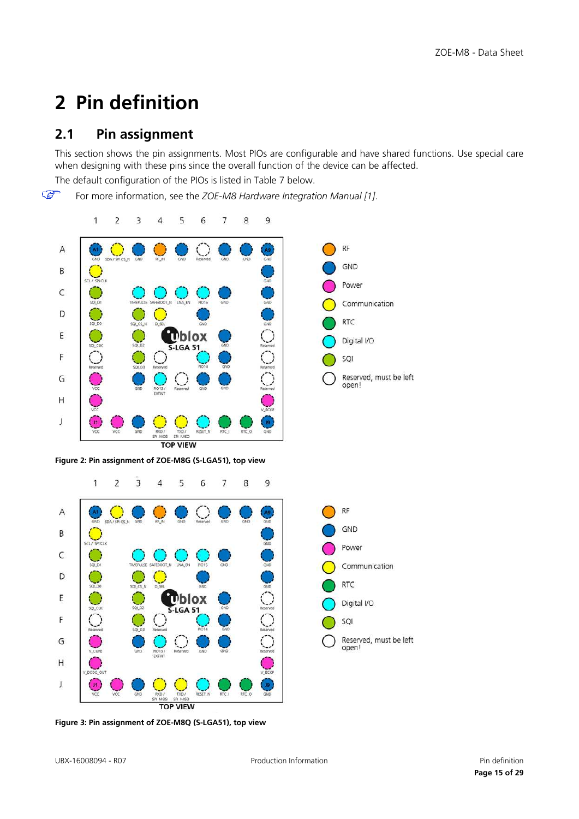# <span id="page-14-0"></span>**2 Pin definition**

# <span id="page-14-1"></span>**2.1 Pin assignment**

This section shows the pin assignments. Most PIOs are configurable and have shared functions. Use special care when designing with these pins since the overall function of the device can be affected.

The default configuration of the PIOs is listed in [Table 7](#page-16-0) below.

 $\mathbb{G}$ For more information, see the *ZOE-M8 Hardware Integration Manual [1]*.



**Figure 3: Pin assignment of ZOE-M8Q (S-LGA51), top view**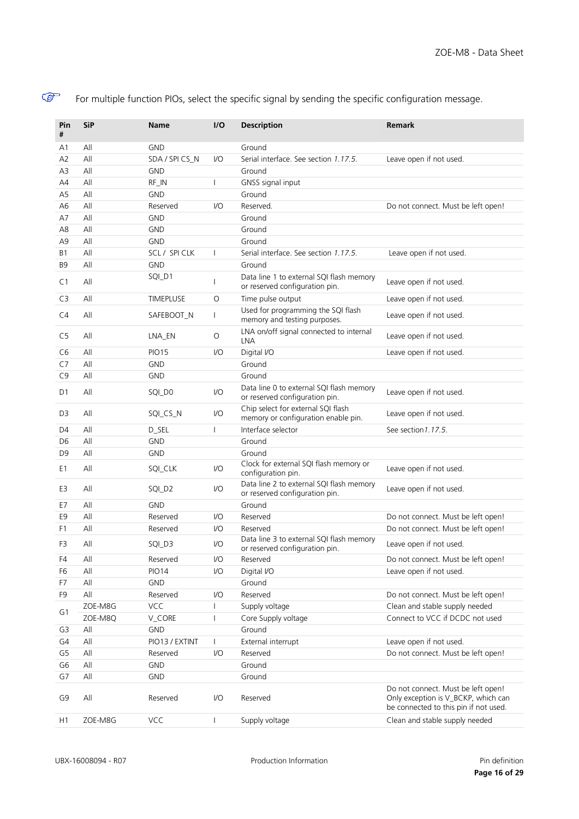$\mathbb{Q}$ 

For multiple function PIOs, select the specific signal by sending the specific configuration message.

| Pin<br>#       | <b>SiP</b> | <b>Name</b>            | I/O          | <b>Description</b>                                                         | <b>Remark</b>                                                                                                      |  |
|----------------|------------|------------------------|--------------|----------------------------------------------------------------------------|--------------------------------------------------------------------------------------------------------------------|--|
| Α1             | All        | <b>GND</b>             |              | Ground                                                                     |                                                                                                                    |  |
| A2             | All        | SDA / SPI CS_N         | I/O          | Serial interface. See section 1.17.5.                                      | Leave open if not used.                                                                                            |  |
| A3             | All        | <b>GND</b>             |              | Ground                                                                     |                                                                                                                    |  |
| A4             | All        | RF_IN                  | $\mathbf{I}$ | GNSS signal input                                                          |                                                                                                                    |  |
| A <sub>5</sub> | All        | <b>GND</b>             |              | Ground                                                                     |                                                                                                                    |  |
| A <sub>6</sub> | All        | Reserved               | I/O          | Reserved.                                                                  | Do not connect. Must be left open!                                                                                 |  |
| A7             | All        | <b>GND</b>             |              | Ground                                                                     |                                                                                                                    |  |
| A8             | All        | <b>GND</b>             |              | Ground                                                                     |                                                                                                                    |  |
| A9             | All        | <b>GND</b>             |              | Ground                                                                     |                                                                                                                    |  |
| B1             | All        | SCL / SPI CLK          | $\mathbf{I}$ | Serial interface. See section 1.17.5.                                      | Leave open if not used.                                                                                            |  |
| B <sub>9</sub> | All        | <b>GND</b>             |              | Ground                                                                     |                                                                                                                    |  |
| C <sub>1</sub> | All        | SQI_D1                 | I            | Data line 1 to external SQI flash memory<br>or reserved configuration pin. | Leave open if not used.                                                                                            |  |
| C3             | All        | TIMEPLUSE              | O            | Time pulse output                                                          | Leave open if not used.                                                                                            |  |
| C4             | All        | SAFEBOOT_N             | $\mathbf{I}$ | Used for programming the SQI flash<br>memory and testing purposes.         | Leave open if not used.                                                                                            |  |
| C5             | All        | LNA_EN                 | O            | LNA on/off signal connected to internal<br>LNA                             | Leave open if not used.                                                                                            |  |
| C6             | All        | <b>PIO15</b>           | I/O          | Digital I/O                                                                | Leave open if not used.                                                                                            |  |
| C7             | All        | <b>GND</b>             |              | Ground                                                                     |                                                                                                                    |  |
| C9             | All        | <b>GND</b>             |              | Ground                                                                     |                                                                                                                    |  |
| D <sub>1</sub> | All        | SQI_D0                 | I/O          | Data line 0 to external SQI flash memory<br>or reserved configuration pin. | Leave open if not used.                                                                                            |  |
| D3             | All        | SQI_CS_N               | I/O          | Chip select for external SQI flash<br>memory or configuration enable pin.  | Leave open if not used.                                                                                            |  |
| D <sub>4</sub> | All        | D_SEL                  | L            | Interface selector                                                         | See section 1, 17.5.                                                                                               |  |
| D <sub>6</sub> | All        | <b>GND</b>             |              | Ground                                                                     |                                                                                                                    |  |
| D <sub>9</sub> | All        | <b>GND</b>             |              | Ground                                                                     |                                                                                                                    |  |
| E1             | All        | SQI_CLK                | I/O          | Clock for external SQI flash memory or<br>configuration pin.               | Leave open if not used.                                                                                            |  |
| E3             | All        | SQI_D2                 | I/O          | Data line 2 to external SQI flash memory<br>or reserved configuration pin. | Leave open if not used.                                                                                            |  |
| E7             | All        | <b>GND</b>             |              | Ground                                                                     |                                                                                                                    |  |
| E <sub>9</sub> | All        | Reserved               | I/O          | Reserved                                                                   | Do not connect. Must be left open!                                                                                 |  |
| F1             | All        | Reserved               | I/O          | Reserved                                                                   | Do not connect. Must be left open!                                                                                 |  |
| F3             | All        | SQI_D3                 | I/O          | Data line 3 to external SQI flash memory<br>or reserved configuration pin. | Leave open if not used.                                                                                            |  |
| F4             | All        | Reserved               | I/O          | Reserved                                                                   | Do not connect. Must be left open!                                                                                 |  |
| F <sub>6</sub> | All        | <b>PIO14</b>           | I/O          | Digital I/O                                                                | Leave open if not used.                                                                                            |  |
| F7             | All        | <b>GND</b>             |              | Ground                                                                     |                                                                                                                    |  |
| F <sub>9</sub> | All        | Reserved               | I/O          | Reserved                                                                   | Do not connect. Must be left open!                                                                                 |  |
| G1             | ZOE-M8G    | <b>VCC</b>             | I            | Supply voltage                                                             | Clean and stable supply needed                                                                                     |  |
|                | ZOE-M8Q    | V_CORE                 | I            | Core Supply voltage                                                        | Connect to VCC if DCDC not used                                                                                    |  |
| G3             | All        | <b>GND</b>             |              | Ground                                                                     |                                                                                                                    |  |
| G4             | All        | PIO13 / EXTINT         | L            | External interrupt                                                         | Leave open if not used.                                                                                            |  |
| G5             | All        | Reserved               | I/O          | Reserved                                                                   | Do not connect. Must be left open!                                                                                 |  |
| G6             | All        | <b>GND</b>             |              | Ground                                                                     |                                                                                                                    |  |
| G7<br>G9       | All<br>All | <b>GND</b><br>Reserved | I/O          | Ground<br>Reserved                                                         | Do not connect. Must be left open!<br>Only exception is V_BCKP, which can<br>be connected to this pin if not used. |  |
| H1             | ZOE-M8G    | VCC                    | $\mathbf{I}$ | Supply voltage                                                             | Clean and stable supply needed                                                                                     |  |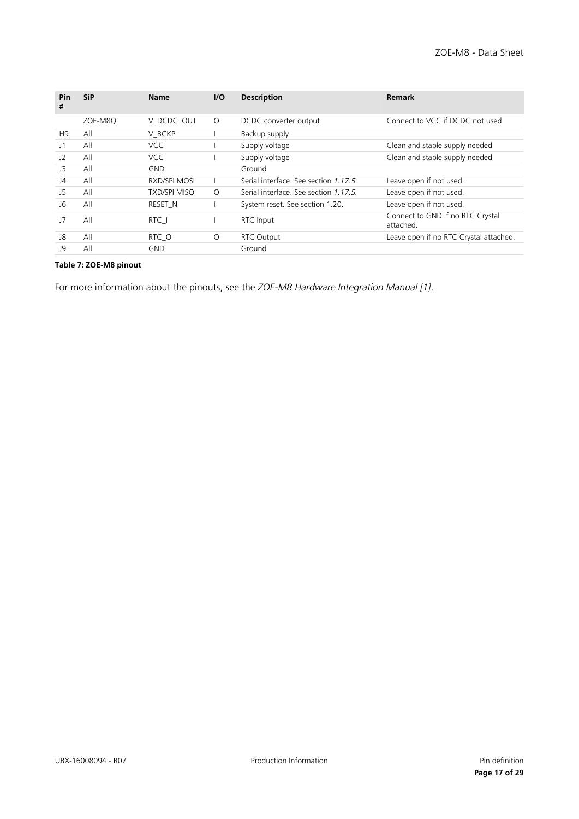| Pin<br>#        | <b>SiP</b> | <b>Name</b>         | 1/O      | <b>Description</b>                    | <b>Remark</b>                                 |
|-----------------|------------|---------------------|----------|---------------------------------------|-----------------------------------------------|
|                 | ZOE-M8Q    | V DCDC OUT          | $\Omega$ | DCDC converter output                 | Connect to VCC if DCDC not used               |
| H <sub>9</sub>  | All        | V BCKP              |          | Backup supply                         |                                               |
| $\overline{11}$ | All        | VCC.                |          | Supply voltage                        | Clean and stable supply needed                |
| J <sub>2</sub>  | All        | VCC.                |          | Supply voltage                        | Clean and stable supply needed                |
| J3              | All        | <b>GND</b>          |          | Ground                                |                                               |
| $\overline{14}$ | All        | RXD/SPI MOSI        |          | Serial interface. See section 1.17.5. | Leave open if not used.                       |
| 15              | All        | <b>TXD/SPI MISO</b> | $\Omega$ | Serial interface. See section 1.17.5. | Leave open if not used.                       |
| <b>J6</b>       | All        | RESET <sub>N</sub>  |          | System reset. See section 1.20.       | Leave open if not used.                       |
| J7              | All        | RTC I               |          | RTC Input                             | Connect to GND if no RTC Crystal<br>attached. |
| J8              | All        | RTC O               | O        | <b>RTC Output</b>                     | Leave open if no RTC Crystal attached.        |
| 19              | All        | GND                 |          | Ground                                |                                               |

#### <span id="page-16-0"></span>**Table 7: ZOE-M8 pinout**

For more information about the pinouts, see the *ZOE-M8 Hardware Integration Manual [\[1\]](#page-27-2)*.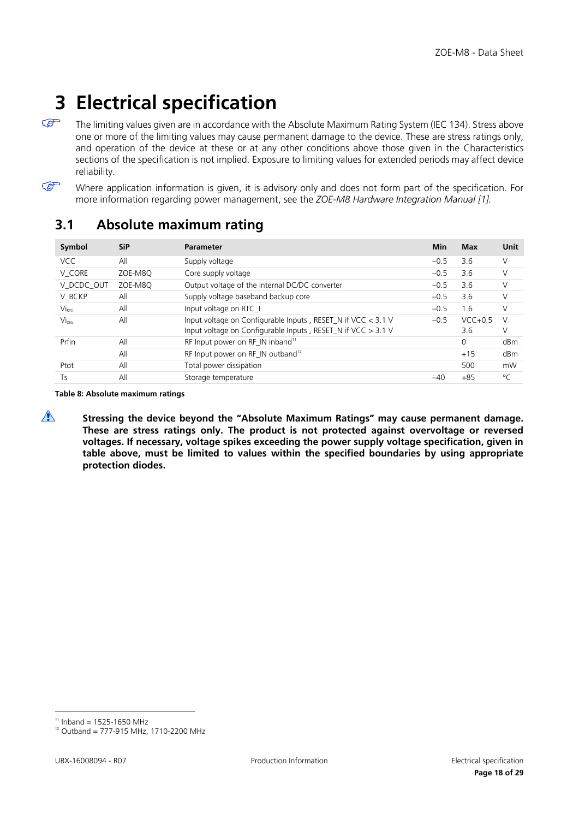# <span id="page-17-0"></span>**3 Electrical specification**

 $\mathbb{Q}$ The limiting values given are in accordance with the Absolute Maximum Rating System (IEC 134). Stress above one or more of the limiting values may cause permanent damage to the device. These are stress ratings only, and operation of the device at these or at any other conditions above those given in the Characteristics sections of the specification is not implied. Exposure to limiting values for extended periods may affect device reliability.

**P** Where application information is given, it is advisory only and does not form part of the specification. For more information regarding power management, see the *ZOE-M8 Hardware Integration Manual [\[1\].](#page-27-2)*

# <span id="page-17-1"></span>**3.1 Absolute maximum rating**

| Symbol           | SiP     | <b>Parameter</b>                                                                                                                 | Min    | Max             | Unit            |
|------------------|---------|----------------------------------------------------------------------------------------------------------------------------------|--------|-----------------|-----------------|
| VCC.             | All     | Supply voltage                                                                                                                   | $-0.5$ | 3.6             | V               |
| V CORE           | ZOE-M8O | Core supply voltage                                                                                                              | $-0.5$ | 3.6             | $\vee$          |
| V DCDC OUT       | ZOE-M8O | Output voltage of the internal DC/DC converter                                                                                   | $-0.5$ | 3.6             | $\vee$          |
| V BCKP           | All     | Supply voltage baseband backup core                                                                                              | $-0.5$ | 3.6             | $\vee$          |
| $Vi_{\rm RFC}$   | All     | Input voltage on RTC_I                                                                                                           | $-0.5$ | 1.6             | $\vee$          |
| Vi <sub>DC</sub> | All     | Input voltage on Configurable Inputs, RESET_N if $VCC < 3.1$ V<br>Input voltage on Configurable Inputs, RESET_N if $VCC > 3.1$ V | $-0.5$ | $VCC+05$<br>3.6 | $\sqrt{ }$<br>V |
| Prfin            | All     | RF Input power on RF_IN inband <sup>11</sup>                                                                                     |        | 0               | dBm             |
|                  | All     | RF Input power on RF_IN outband <sup>12</sup>                                                                                    |        | $+15$           | dBm             |
| Ptot             | All     | Total power dissipation                                                                                                          |        | 500             | mW              |
| Τs               | All     | Storage temperature                                                                                                              | -40    | $+85$           | °C              |

<span id="page-17-4"></span>**Table 8: Absolute maximum ratings**

 $\bigwedge$ 

**Stressing the device beyond the "Absolute Maximum Ratings" may cause permanent damage. These are stress ratings only. The product is not protected against overvoltage or reversed voltages. If necessary, voltage spikes exceeding the power supply voltage specification, given in table above, must be limited to values within the specified boundaries by using appropriate protection diodes.**

 $\overline{a}$ 

<span id="page-17-2"></span> $11$  Inband = 1525-1650 MHz

<span id="page-17-3"></span><sup>12</sup> Outband = 777-915 MHz, 1710-2200 MHz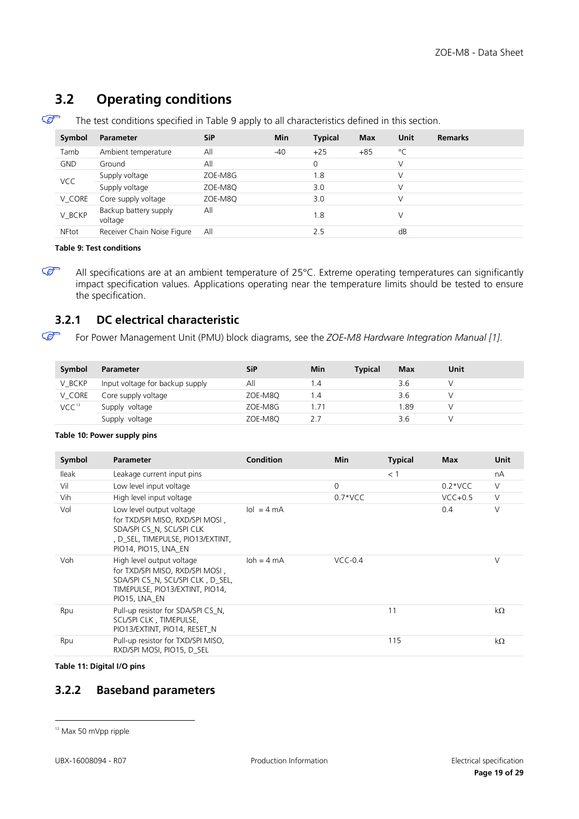# <span id="page-18-0"></span>**3.2 Operating conditions**

| Symbol       | <b>Parameter</b>                 | <b>SiP</b> | Min   | <b>Typical</b> | <b>Max</b> | Unit   | <b>Remarks</b> |
|--------------|----------------------------------|------------|-------|----------------|------------|--------|----------------|
| Tamb         | Ambient temperature              | All        | $-40$ | $+25$          | $+85$      | °C     |                |
| <b>GND</b>   | Ground                           | All        |       | 0              |            | $\vee$ |                |
| <b>VCC</b>   | Supply voltage                   | ZOE-M8G    |       | 1.8            |            |        |                |
|              | Supply voltage                   | ZOE-M8Q    |       | 3.0            |            |        |                |
| V CORE       | Core supply voltage              | ZOE-M8Q    |       | 3.0            |            |        |                |
| V BCKP       | Backup battery supply<br>voltage | All        |       | 1.8            |            |        |                |
| <b>NFtot</b> | Receiver Chain Noise Figure      | All        |       | 2.5            |            | dB     |                |
|              |                                  |            |       |                |            |        |                |

 $\mathbb{Q}$ The test conditions specified in [Table 9](#page-18-3) apply to all characteristics defined in this section.

<span id="page-18-3"></span>**Table 9: Test conditions**

 $\mathbb{G}$ All specifications are at an ambient temperature of 25°C. Extreme operating temperatures can significantly impact specification values. Applications operating near the temperature limits should be tested to ensure the specification.

## <span id="page-18-1"></span>**3.2.1 DC electrical characteristic**

 $\mathbb{Q}$ For Power Management Unit (PMU) block diagrams, see the *ZOE-M8 Hardware Integration Manual [\[1\]](#page-27-2)*.

| Symbol              | Parameter                       | SiP     | Min  | <b>Typical</b> | <b>Max</b> | Unit |  |
|---------------------|---------------------------------|---------|------|----------------|------------|------|--|
| V BCKP              | Input voltage for backup supply | All     | 1.4  |                | 3.6        |      |  |
| V CORE              | Core supply voltage             | ZOE-M8Q | 1.4  |                | 3.6        |      |  |
| $VCC$ <sup>13</sup> | Supply voltage                  | ZOE-M8G | 1.71 |                | l.89       |      |  |
|                     | Supply voltage                  | ZOE-M8Q | 2.7  |                | 3.6        |      |  |

#### **Table 10: Power supply pins**

| Symbol       | <b>Parameter</b>                                                                                                                                      | <b>Condition</b>           | <b>Min</b> | <b>Typical</b> | <b>Max</b> | Unit      |
|--------------|-------------------------------------------------------------------------------------------------------------------------------------------------------|----------------------------|------------|----------------|------------|-----------|
| <b>Ileak</b> | Leakage current input pins                                                                                                                            |                            |            | $<$ 1          |            | nA        |
| Vil          | Low level input voltage                                                                                                                               |                            | 0          |                | $0.2*VCC$  | V         |
| Vih          | High level input voltage                                                                                                                              |                            | $0.7*VCC$  |                | $VCC+0.5$  | V         |
| Vol          | Low level output voltage<br>for TXD/SPI MISO, RXD/SPI MOSI,<br>SDA/SPI CS N, SCL/SPI CLK<br>, D SEL, TIMEPULSE, PIO13/EXTINT,<br>PIO14, PIO15, LNA EN | $\text{Io} = 4 \text{ mA}$ |            |                | 0.4        | V         |
| Voh          | High level output voltage<br>for TXD/SPI MISO, RXD/SPI MOSI,<br>SDA/SPICS N, SCL/SPICLK, D SEL,<br>TIMEPULSE, PIO13/EXTINT, PIO14,<br>PIO15, LNA EN   | $\lambda$ loh = 4 mA       | $VCC-0.4$  |                |            | V         |
| Rpu          | Pull-up resistor for SDA/SPI CS N,<br>SCL/SPI CLK, TIMEPULSE,<br>PIO13/EXTINT, PIO14, RESET N                                                         |                            |            | 11             |            | $k\Omega$ |
| Rpu          | Pull-up resistor for TXD/SPI MISO,<br>RXD/SPI MOSI, PIO15, D SEL                                                                                      |                            |            | 115            |            | $k\Omega$ |

**Table 11: Digital I/O pins**

#### <span id="page-18-2"></span>**3.2.2 Baseband parameters**

 $\overline{a}$ 

<span id="page-18-4"></span><sup>&</sup>lt;sup>13</sup> Max 50 mVpp ripple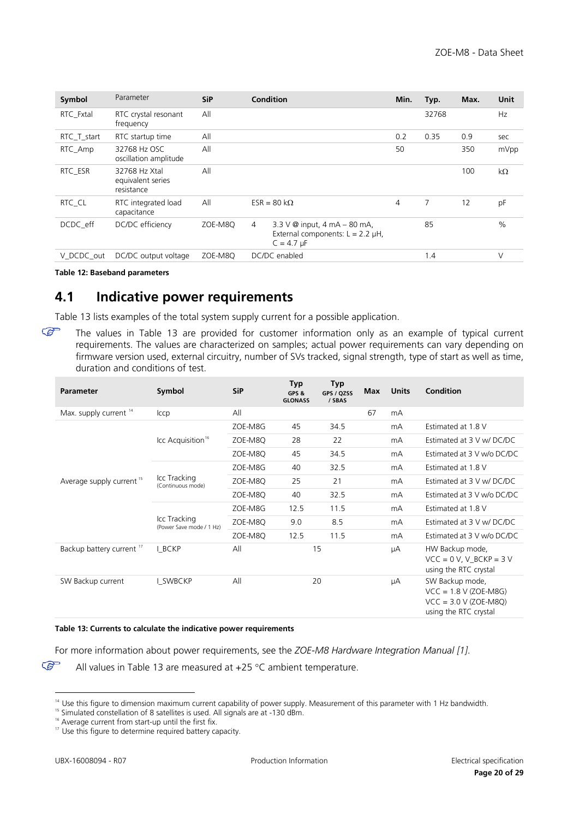| Symbol      | Parameter                                        | <b>SiP</b> |                | <b>Condition</b>                                                                                   | Min. | Typ.  | Max. | Unit      |
|-------------|--------------------------------------------------|------------|----------------|----------------------------------------------------------------------------------------------------|------|-------|------|-----------|
| RTC Fxtal   | RTC crystal resonant<br>frequency                | All        |                |                                                                                                    |      | 32768 |      | Hz        |
| RTC_T_start | RTC startup time                                 | All        |                |                                                                                                    | 0.2  | 0.35  | 0.9  | sec       |
| RTC Amp     | 32768 Hz OSC<br>oscillation amplitude            | All        |                |                                                                                                    | 50   |       | 350  | mVpp      |
| RTC ESR     | 32768 Hz Xtal<br>equivalent series<br>resistance | All        |                |                                                                                                    |      |       | 100  | $k\Omega$ |
| RTC CL      | RTC integrated load<br>capacitance               | All        |                | $ESR = 80 k\Omega$                                                                                 | 4    | 7     | 12   | рF        |
| DCDC eff    | DC/DC efficiency                                 | ZOE-M8O    | $\overline{4}$ | 3.3 V $\omega$ input, 4 mA $-$ 80 mA,<br>External components: $L = 2.2 \mu H$ ,<br>$C = 4.7 \mu F$ |      | 85    |      | $\%$      |
| V DCDC out  | DC/DC output voltage                             | ZOE-M8O    |                | DC/DC enabled                                                                                      |      | 1.4   |      | $\vee$    |

<span id="page-19-1"></span>**Table 12: Baseband parameters**

## <span id="page-19-0"></span>**4.1 Indicative power requirements**

[Table 13](#page-19-2) lists examples of the total system supply current for a possible application.

 $\mathbb{Q}$ The values in [Table 13](#page-19-2) are provided for customer information only as an example of typical current requirements. The values are characterized on samples; actual power requirements can vary depending on firmware version used, external circuitry, number of SVs tracked, signal strength, type of start as well as time, duration and conditions of test.

| Parameter                            | Symbol                                   | <b>SiP</b> | Typ<br>GPS &<br><b>GLONASS</b> | Typ<br>GPS / OZSS<br>/ SBAS | <b>Max</b> | <b>Units</b> | Condition                                                                                      |
|--------------------------------------|------------------------------------------|------------|--------------------------------|-----------------------------|------------|--------------|------------------------------------------------------------------------------------------------|
| Max. supply current $14$             | <b>Iccp</b>                              | All        |                                |                             | 67         | mA           |                                                                                                |
|                                      |                                          | ZOE-M8G    | 45                             | 34.5                        |            | mA           | Estimated at 1.8 V                                                                             |
|                                      | Icc Acquisition <sup>16</sup>            | ZOE-M8Q    | 28                             | 22                          |            | mA           | Estimated at 3 V w/ DC/DC                                                                      |
|                                      |                                          | ZOE-M8Q    | 45                             | 34.5                        |            | mA           | Estimated at 3 V w/o DC/DC                                                                     |
|                                      |                                          | ZOE-M8G    | 40                             | 32.5                        |            | mA           | Estimated at 1.8 V                                                                             |
| Average supply current <sup>15</sup> | Icc Tracking<br>(Continuous mode)        | ZOE-M8O    | 25                             | 21                          |            | mA           | Estimated at 3 V w/ DC/DC                                                                      |
|                                      |                                          | ZOE-M8Q    | 40                             | 32.5                        |            | mA           | Estimated at 3 V w/o DC/DC                                                                     |
|                                      | Icc Tracking<br>(Power Save mode / 1 Hz) | ZOE-M8G    | 12.5                           | 11.5                        |            | mA           | Estimated at 1.8 V                                                                             |
|                                      |                                          | ZOE-M8Q    | 9.0                            | 8.5                         |            | mA           | Estimated at 3 V w/ DC/DC                                                                      |
|                                      |                                          | ZOE-M8Q    | 12.5                           | 11.5                        |            | mA           | Estimated at 3 V w/o DC/DC                                                                     |
| Backup battery current <sup>17</sup> | I BCKP                                   | All        |                                | 15                          |            | μA           | HW Backup mode,<br>$VCC = 0 V, V BCKP = 3 V$<br>using the RTC crystal                          |
| SW Backup current                    | I SWBCKP                                 | All        |                                | 20                          |            | μA           | SW Backup mode,<br>$VCC = 1.8 V (ZOE-M8G)$<br>$VCC = 3.0 V (ZOE-M8Q)$<br>using the RTC crystal |

#### <span id="page-19-2"></span>**Table 13: Currents to calculate the indicative power requirements**

For more information about power requirements, see the *ZOE-M8 Hardware Integration Manual [\[1\]](#page-27-2)*.

All values in [Table 13](#page-19-2) are measured at +25 °C ambient temperature.

<span id="page-19-4"></span><span id="page-19-3"></span><sup>15</sup> Simulated constellation of 8 satellites is used. All signals are at -130 dBm.

 $\overline{a}$ 

 $\mathbb{G}$ 

<sup>&</sup>lt;sup>14</sup> Use this figure to dimension maximum current capability of power supply. Measurement of this parameter with 1 Hz bandwidth.

<span id="page-19-5"></span><sup>&</sup>lt;sup>16</sup> Average current from start-up until the first fix.

<span id="page-19-6"></span><sup>&</sup>lt;sup>17</sup> Use this figure to determine required battery capacity.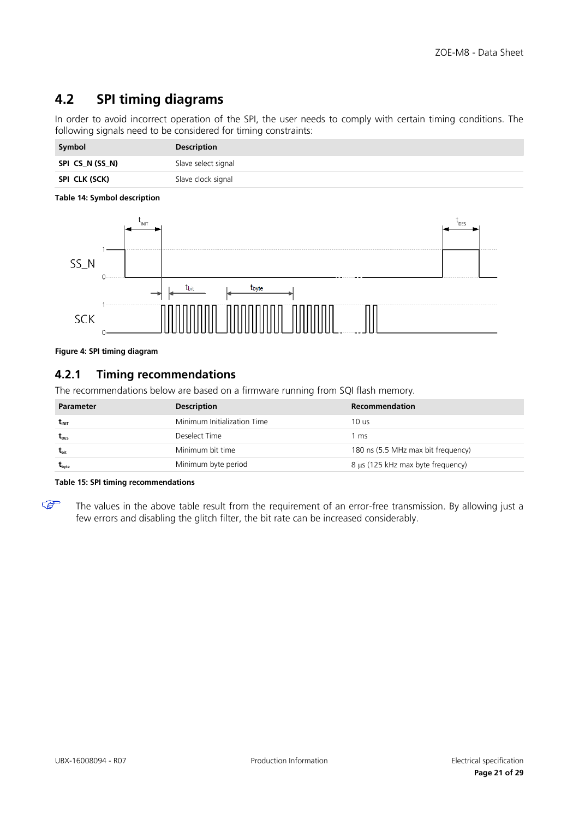# <span id="page-20-0"></span>**4.2 SPI timing diagrams**

In order to avoid incorrect operation of the SPI, the user needs to comply with certain timing conditions. The following signals need to be considered for timing constraints:

| Symbol          | <b>Description</b>  |
|-----------------|---------------------|
| SPI CS_N (SS_N) | Slave select signal |
| SPI CLK (SCK)   | Slave clock signal  |

#### **Table 14: Symbol description**



**Figure 4: SPI timing diagram**

### <span id="page-20-1"></span>**4.2.1 Timing recommendations**

The recommendations below are based on a firmware running from SQI flash memory.

| Parameter                 | <b>Description</b>          | Recommendation                     |
|---------------------------|-----------------------------|------------------------------------|
| $t_{\text{init}}$         | Minimum Initialization Time | 10 us                              |
| $t_{\text{DES}}$          | Deselect Time               | 1 ms                               |
| $\mathbf{t}_{\text{bit}}$ | Minimum bit time            | 180 ns (5.5 MHz max bit frequency) |
| $t_{\text{byte}}$         | Minimum byte period         | 8 µs (125 kHz max byte frequency)  |

**Table 15: SPI timing recommendations**

 $\mathbb{Q}$ The values in the above table result from the requirement of an error-free transmission. By allowing just a few errors and disabling the glitch filter, the bit rate can be increased considerably.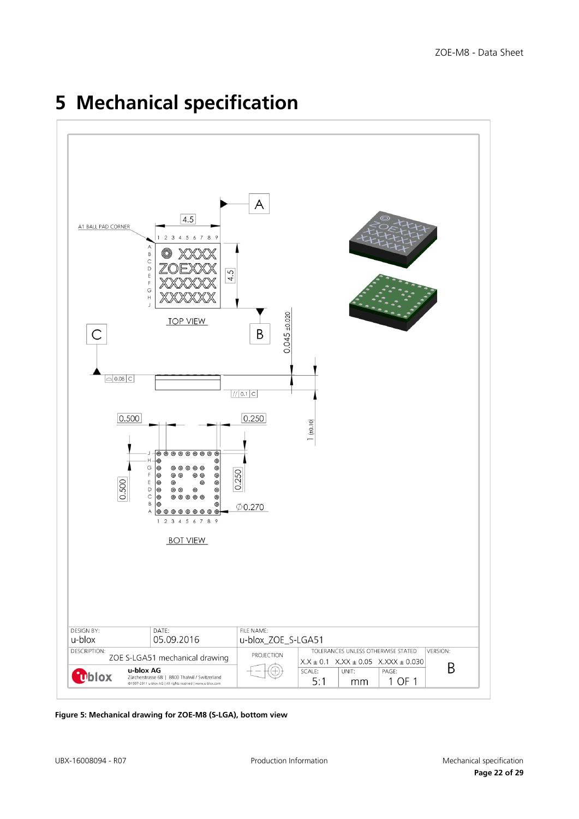

# <span id="page-21-0"></span>**5 Mechanical specification**

#### <span id="page-21-1"></span>**Figure 5: Mechanical drawing for ZOE-M8 (S-LGA), bottom view**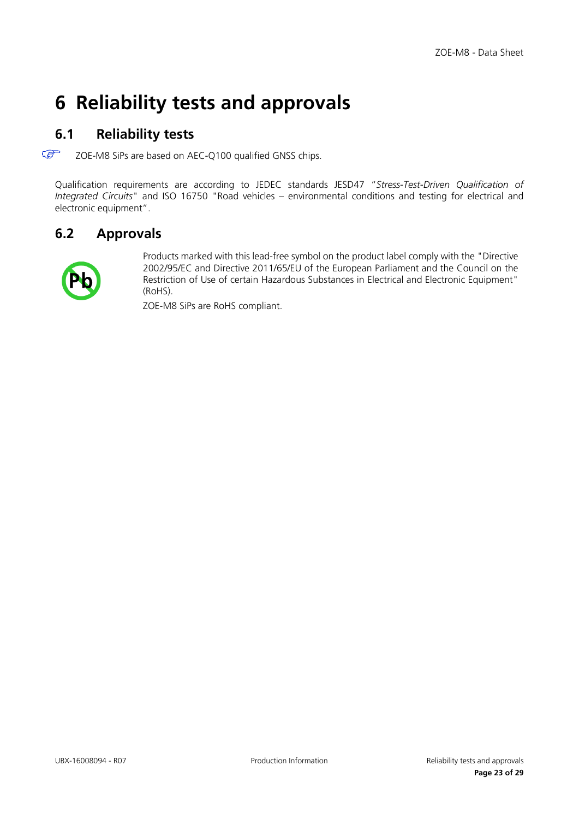# <span id="page-22-0"></span>**6 Reliability tests and approvals**

# <span id="page-22-1"></span>**6.1 Reliability tests**

 $\mathbb{Q}$ ZOE-M8 SiPs are based on AEC-Q100 qualified GNSS chips.

Qualification requirements are according to JEDEC standards JESD47 "*Stress-Test-Driven Qualification of Integrated Circuits*" and ISO 16750 "Road vehicles – environmental conditions and testing for electrical and electronic equipment".

## <span id="page-22-2"></span>**6.2 Approvals**



Products marked with this lead-free symbol on the product label comply with the "Directive 2002/95/EC and Directive 2011/65/EU of the European Parliament and the Council on the Restriction of Use of certain Hazardous Substances in Electrical and Electronic Equipment" (RoHS).

ZOE-M8 SiPs are RoHS compliant.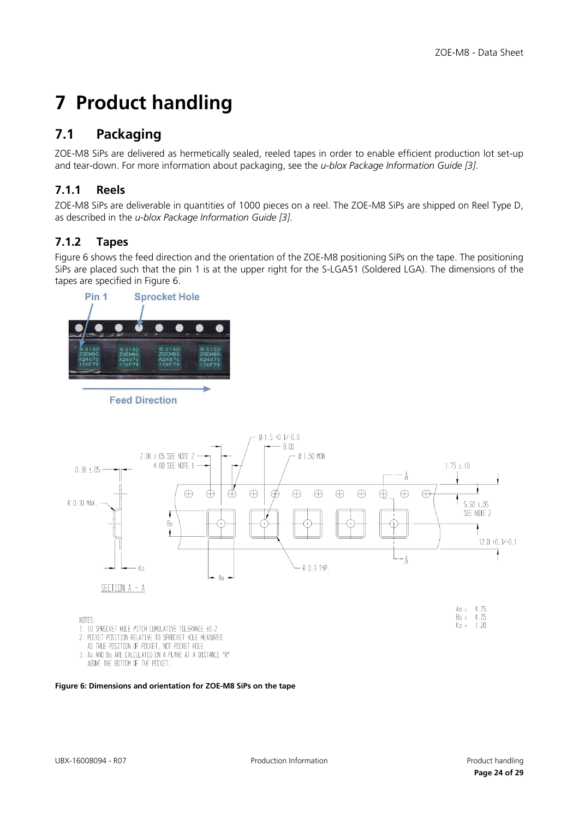# <span id="page-23-0"></span>**7 Product handling**

## <span id="page-23-1"></span>**7.1 Packaging**

ZOE-M8 SiPs are delivered as hermetically sealed, reeled tapes in order to enable efficient production lot set-up and tear-down. For more information about packaging, see the *u-blox Package Information Guide [\[3\]](#page-27-6)*.

## <span id="page-23-2"></span>**7.1.1 Reels**

ZOE-M8 SiPs are deliverable in quantities of 1000 pieces on a reel. The ZOE-M8 SiPs are shipped on Reel Type D, as described in the *u-blox Package Information Guide [\[3\]](#page-27-6)*.

## <span id="page-23-3"></span>**7.1.2 Tapes**

[Figure 6](#page-23-4) shows the feed direction and the orientation of the ZOE-M8 positioning SiPs on the tape. The positioning SiPs are placed such that the pin 1 is at the upper right for the S-LGA51 (Soldered LGA). The dimensions of the tapes are specified in [Figure 6.](#page-23-4)



**Feed Direction** 



#### <span id="page-23-4"></span>**Figure 6: Dimensions and orientation for ZOE-M8 SiPs on the tape**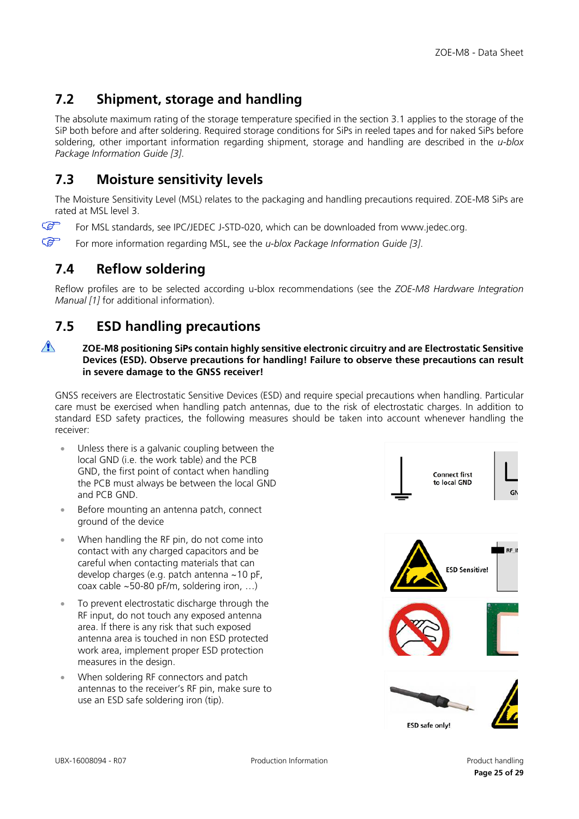# <span id="page-24-0"></span>**7.2 Shipment, storage and handling**

The absolute maximum rating of the storage temperature specified in the section [3.1](#page-17-1) applies to the storage of the SiP both before and after soldering. Required storage conditions for SiPs in reeled tapes and for naked SiPs before soldering, other important information regarding shipment, storage and handling are described in the *u-blox Package Information Guide [\[3\]](#page-27-6)*.

# <span id="page-24-1"></span>**7.3 Moisture sensitivity levels**

The Moisture Sensitivity Level (MSL) relates to the packaging and handling precautions required. ZOE-M8 SiPs are rated at MSL level 3.

☞ For MSL standards, see IPC/JEDEC J-STD-020, which can be downloaded from [www.jedec.org.](http://www.jedec.org/)

**P** For more information regarding MSL, see the *u-blox Package Information Guide [\[3\]](#page-27-6)*.

## <span id="page-24-2"></span>**7.4 Reflow soldering**

Reflow profiles are to be selected according u-blox recommendations (see the *ZOE-M8 Hardware Integration Manual [\[1\]](#page-27-2)* for additional information).

# <span id="page-24-3"></span>**7.5 ESD handling precautions**

#### $\bigwedge$ **ZOE-M8 positioning SiPs contain highly sensitive electronic circuitry and are Electrostatic Sensitive Devices (ESD). Observe precautions for handling! Failure to observe these precautions can result in severe damage to the GNSS receiver!**

GNSS receivers are Electrostatic Sensitive Devices (ESD) and require special precautions when handling. Particular care must be exercised when handling patch antennas, due to the risk of electrostatic charges. In addition to standard ESD safety practices, the following measures should be taken into account whenever handling the receiver:

- Unless there is a galvanic coupling between the local GND (i.e. the work table) and the PCB GND, the first point of contact when handling the PCB must always be between the local GND and PCB GND.
- Before mounting an antenna patch, connect ground of the device
- When handling the RF pin, do not come into contact with any charged capacitors and be careful when contacting materials that can develop charges (e.g. patch antenna ~10 pF, coax cable ~50-80 pF/m, soldering iron, …)
- To prevent electrostatic discharge through the RF input, do not touch any exposed antenna area. If there is any risk that such exposed antenna area is touched in non ESD protected work area, implement proper ESD protection measures in the design.
- When soldering RF connectors and patch antennas to the receiver's RF pin, make sure to use an ESD safe soldering iron (tip).





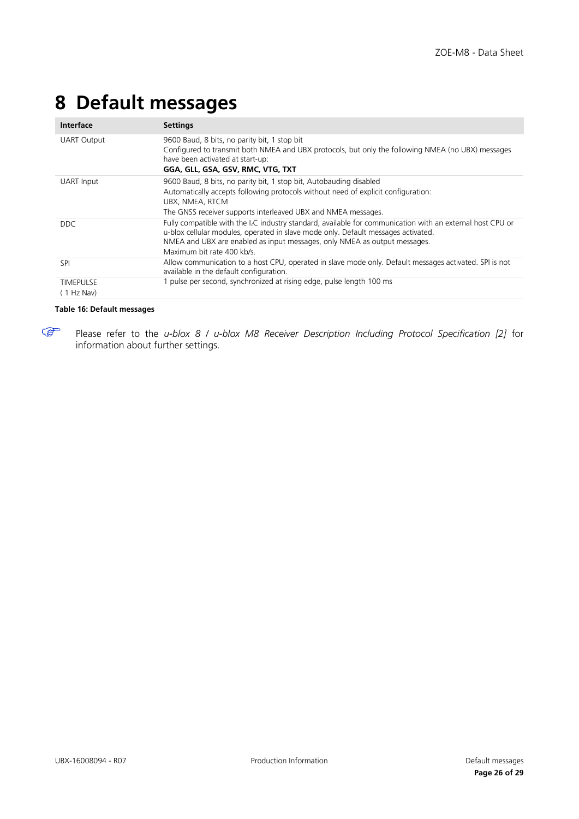# <span id="page-25-0"></span>**8 Default messages**

| Interface               | <b>Settings</b>                                                                                                                                                                                                                                                                                                        |
|-------------------------|------------------------------------------------------------------------------------------------------------------------------------------------------------------------------------------------------------------------------------------------------------------------------------------------------------------------|
| <b>UART Output</b>      | 9600 Baud, 8 bits, no parity bit, 1 stop bit<br>Configured to transmit both NMEA and UBX protocols, but only the following NMEA (no UBX) messages<br>have been activated at start-up:<br>GGA, GLL, GSA, GSV, RMC, VTG, TXT                                                                                             |
| UART Input              | 9600 Baud, 8 bits, no parity bit, 1 stop bit, Autobauding disabled<br>Automatically accepts following protocols without need of explicit configuration:<br>UBX, NMEA, RTCM<br>The GNSS receiver supports interleaved UBX and NMEA messages.                                                                            |
| DDC.                    | Fully compatible with the I <sub>2</sub> C industry standard, available for communication with an external host CPU or<br>u-blox cellular modules, operated in slave mode only. Default messages activated.<br>NMEA and UBX are enabled as input messages, only NMEA as output messages.<br>Maximum bit rate 400 kb/s. |
| <b>SPI</b>              | Allow communication to a host CPU, operated in slave mode only. Default messages activated. SPI is not<br>available in the default configuration.                                                                                                                                                                      |
| TIMEPULSE<br>(1 Hz Nav) | I pulse per second, synchronized at rising edge, pulse length 100 ms                                                                                                                                                                                                                                                   |

#### **Table 16: Default messages**

 $\mathbb{Q}$ 

Please refer to the *u-blox 8 / u-blox M8 Receiver Description Including Protocol Specification [\[2\]](#page-27-3)* for information about further settings.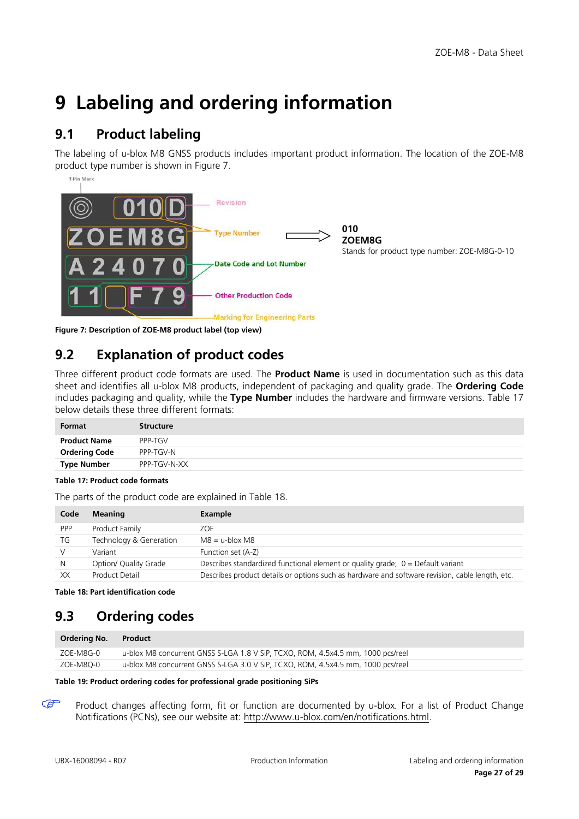# <span id="page-26-0"></span>**9 Labeling and ordering information**

# <span id="page-26-1"></span>**9.1 Product labeling**

The labeling of u-blox M8 GNSS products includes important product information. The location of the ZOE-M8 product type number is shown in [Figure 7.](#page-26-4) 1 Pin Mark



<span id="page-26-4"></span>**Figure 7: Description of ZOE-M8 product label (top view)** 

# <span id="page-26-2"></span>**9.2 Explanation of product codes**

Three different product code formats are used. The **Product Name** is used in documentation such as this data sheet and identifies all u-blox M8 products, independent of packaging and quality grade. The **Ordering Code** includes packaging and quality, while the **Type Number** includes the hardware and firmware versions. [Table 17](#page-26-5) below details these three different formats:

| Format               | <b>Structure</b> |
|----------------------|------------------|
| <b>Product Name</b>  | PPP-TGV          |
| <b>Ordering Code</b> | PPP-TGV-N        |
| <b>Type Number</b>   | PPP-TGV-N-XX     |

#### <span id="page-26-5"></span>**Table 17: Product code formats**

The parts of the product code are explained in [Table 18.](#page-26-6)

| Code       | <b>Meaning</b>          | <b>Example</b>                                                                                  |
|------------|-------------------------|-------------------------------------------------------------------------------------------------|
| <b>PPP</b> | Product Family          | ZOE                                                                                             |
| TG         | Technology & Generation | $M8 = u$ -blox M8                                                                               |
|            | Variant                 | Function set (A-Z)                                                                              |
| N          | Option/ Quality Grade   | Describes standardized functional element or quality grade; $0 =$ Default variant               |
| XX         | Product Detail          | Describes product details or options such as hardware and software revision, cable length, etc. |

<span id="page-26-6"></span>**Table 18: Part identification code**

# <span id="page-26-3"></span>**9.3 Ordering codes**

| Ordering No. | <b>Product</b>                                                                  |
|--------------|---------------------------------------------------------------------------------|
| ZOE-M8G-0    | u-blox M8 concurrent GNSS S-LGA 1.8 V SiP, TCXO, ROM, 4.5x4.5 mm, 1000 pcs/reel |
| ZOE-M8O-0    | u-blox M8 concurrent GNSS S-LGA 3.0 V SiP, TCXO, ROM, 4.5x4.5 mm, 1000 pcs/reel |

#### **Table 19: Product ordering codes for professional grade positioning SiPs**

Product changes affecting form, fit or function are documented by u-blox. For a list of Product Change Notifications (PCNs), see our website at: http://www.u-blox.com/en/notifications.html.

**P**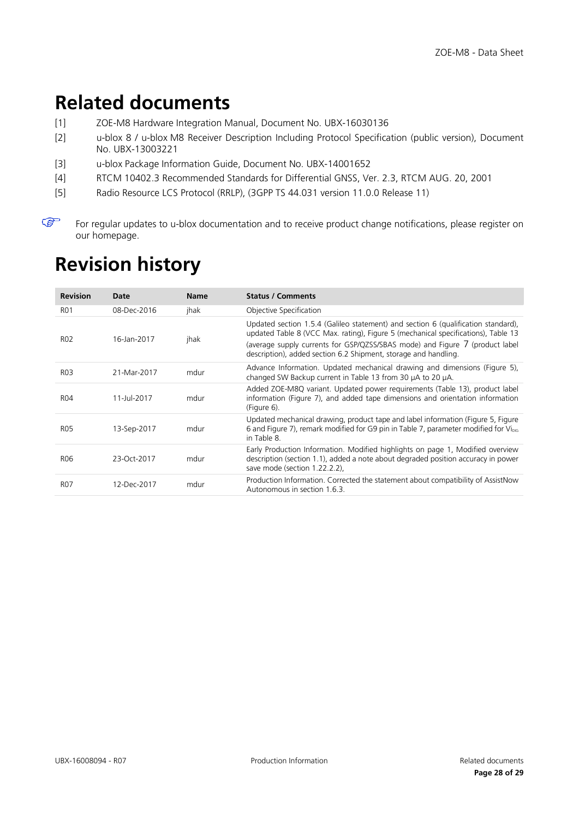# <span id="page-27-0"></span>**Related documents**

- <span id="page-27-2"></span>[1] ZOE-M8 Hardware Integration Manual, Document No. UBX-16030136
- <span id="page-27-3"></span>[2] u-blox 8 / u-blox M8 Receiver Description Including Protocol Specification (public version), Document No. UBX-13003221
- <span id="page-27-6"></span>[3] u-blox Package Information Guide, Document No. UBX-14001652
- <span id="page-27-4"></span>[4] RTCM 10402.3 Recommended Standards for Differential GNSS, Ver. 2.3, RTCM AUG. 20, 2001
- <span id="page-27-5"></span>[5] Radio Resource LCS Protocol (RRLP), (3GPP TS 44.031 version 11.0.0 Release 11)

 $\mathbb{G}$ For regular updates to u-blox documentation and to receive product change notifications, please register on our homepage.

# <span id="page-27-1"></span>**Revision history**

| <b>Revision</b>  | Date        | <b>Name</b> | <b>Status / Comments</b>                                                                                                                                                                                                                                                                                                  |
|------------------|-------------|-------------|---------------------------------------------------------------------------------------------------------------------------------------------------------------------------------------------------------------------------------------------------------------------------------------------------------------------------|
| <b>RO1</b>       | 08-Dec-2016 | jhak        | Objective Specification                                                                                                                                                                                                                                                                                                   |
| R <sub>02</sub>  | 16-Jan-2017 | jhak        | Updated section 1.5.4 (Galileo statement) and section 6 (qualification standard),<br>updated Table 8 (VCC Max. rating), Figure 5 (mechanical specifications), Table 13<br>(average supply currents for GSP/QZSS/SBAS mode) and Figure 7 (product label<br>description), added section 6.2 Shipment, storage and handling. |
| R <sub>0</sub> 3 | 21-Mar-2017 | mdur        | Advance Information. Updated mechanical drawing and dimensions (Figure 5),<br>changed SW Backup current in Table 13 from 30 µA to 20 µA.                                                                                                                                                                                  |
| R04              | 11-Jul-2017 | mdur        | Added ZOE-M8Q variant. Updated power requirements (Table 13), product label<br>information (Figure 7), and added tape dimensions and orientation information<br>(Figure 6).                                                                                                                                               |
| R05              | 13-Sep-2017 | mdur        | Updated mechanical drawing, product tape and label information (Figure 5, Figure<br>6 and Figure 7), remark modified for G9 pin in Table 7, parameter modified for Vi <sub>pig</sub><br>in Table 8.                                                                                                                       |
| R <sub>06</sub>  | 23-Oct-2017 | mdur        | Early Production Information. Modified highlights on page 1, Modified overview<br>description (section 1.1), added a note about degraded position accuracy in power<br>save mode (section 1.22.2.2),                                                                                                                      |
| R07              | 12-Dec-2017 | mdur        | Production Information. Corrected the statement about compatibility of AssistNow<br>Autonomous in section 1.6.3.                                                                                                                                                                                                          |